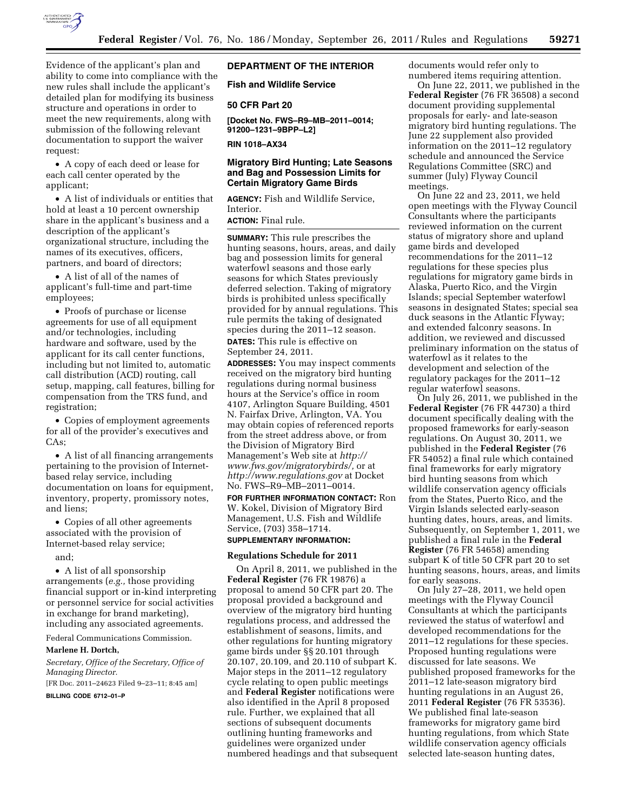

Evidence of the applicant's plan and ability to come into compliance with the new rules shall include the applicant's detailed plan for modifying its business structure and operations in order to meet the new requirements, along with submission of the following relevant documentation to support the waiver request:

• A copy of each deed or lease for each call center operated by the applicant;

• A list of individuals or entities that hold at least a 10 percent ownership share in the applicant's business and a description of the applicant's organizational structure, including the names of its executives, officers, partners, and board of directors;

• A list of all of the names of applicant's full-time and part-time employees;

• Proofs of purchase or license agreements for use of all equipment and/or technologies, including hardware and software, used by the applicant for its call center functions, including but not limited to, automatic call distribution (ACD) routing, call setup, mapping, call features, billing for compensation from the TRS fund, and registration;

• Copies of employment agreements for all of the provider's executives and CAs;

• A list of all financing arrangements pertaining to the provision of Internetbased relay service, including documentation on loans for equipment, inventory, property, promissory notes, and liens;

• Copies of all other agreements associated with the provision of Internet-based relay service;

and;

• A list of all sponsorship arrangements (*e.g.,* those providing financial support or in-kind interpreting or personnel service for social activities in exchange for brand marketing), including any associated agreements.

Federal Communications Commission.

#### **Marlene H. Dortch,**

*Secretary, Office of the Secretary, Office of Managing Director.* 

[FR Doc. 2011–24623 Filed 9–23–11; 8:45 am]

**BILLING CODE 6712–01–P** 

# **DEPARTMENT OF THE INTERIOR**

**Fish and Wildlife Service** 

### **50 CFR Part 20**

**[Docket No. FWS–R9–MB–2011–0014; 91200–1231–9BPP–L2]** 

**RIN 1018–AX34** 

## **Migratory Bird Hunting; Late Seasons and Bag and Possession Limits for Certain Migratory Game Birds**

**AGENCY:** Fish and Wildlife Service, Interior.

# **ACTION:** Final rule.

**SUMMARY:** This rule prescribes the hunting seasons, hours, areas, and daily bag and possession limits for general waterfowl seasons and those early seasons for which States previously deferred selection. Taking of migratory birds is prohibited unless specifically provided for by annual regulations. This rule permits the taking of designated species during the 2011–12 season. **DATES:** This rule is effective on

September 24, 2011.

**ADDRESSES:** You may inspect comments received on the migratory bird hunting regulations during normal business hours at the Service's office in room 4107, Arlington Square Building, 4501 N. Fairfax Drive, Arlington, VA. You may obtain copies of referenced reports from the street address above, or from the Division of Migratory Bird Management's Web site at *[http://](http://www.fws.gov/migratorybirds/) [www.fws.gov/migratorybirds/,](http://www.fws.gov/migratorybirds/)* or at *<http://www.regulations.gov>* at Docket No. FWS–R9–MB–2011–0014.

**FOR FURTHER INFORMATION CONTACT:** Ron W. Kokel, Division of Migratory Bird Management, U.S. Fish and Wildlife Service, (703) 358–1714.

# **SUPPLEMENTARY INFORMATION:**

# **Regulations Schedule for 2011**

On April 8, 2011, we published in the **Federal Register** (76 FR 19876) a proposal to amend 50 CFR part 20. The proposal provided a background and overview of the migratory bird hunting regulations process, and addressed the establishment of seasons, limits, and other regulations for hunting migratory game birds under §§ 20.101 through 20.107, 20.109, and 20.110 of subpart K. Major steps in the 2011–12 regulatory cycle relating to open public meetings and **Federal Register** notifications were also identified in the April 8 proposed rule. Further, we explained that all sections of subsequent documents outlining hunting frameworks and guidelines were organized under numbered headings and that subsequent documents would refer only to numbered items requiring attention.

On June 22, 2011, we published in the **Federal Register** (76 FR 36508) a second document providing supplemental proposals for early- and late-season migratory bird hunting regulations. The June 22 supplement also provided information on the 2011–12 regulatory schedule and announced the Service Regulations Committee (SRC) and summer (July) Flyway Council meetings.

On June 22 and 23, 2011, we held open meetings with the Flyway Council Consultants where the participants reviewed information on the current status of migratory shore and upland game birds and developed recommendations for the 2011–12 regulations for these species plus regulations for migratory game birds in Alaska, Puerto Rico, and the Virgin Islands; special September waterfowl seasons in designated States; special sea duck seasons in the Atlantic Flyway; and extended falconry seasons. In addition, we reviewed and discussed preliminary information on the status of waterfowl as it relates to the development and selection of the regulatory packages for the 2011–12 regular waterfowl seasons.

On July 26, 2011, we published in the **Federal Register** (76 FR 44730) a third document specifically dealing with the proposed frameworks for early-season regulations. On August 30, 2011, we published in the **Federal Register** (76 FR 54052) a final rule which contained final frameworks for early migratory bird hunting seasons from which wildlife conservation agency officials from the States, Puerto Rico, and the Virgin Islands selected early-season hunting dates, hours, areas, and limits. Subsequently, on September 1, 2011, we published a final rule in the **Federal Register** (76 FR 54658) amending subpart K of title 50 CFR part 20 to set hunting seasons, hours, areas, and limits for early seasons.

On July 27–28, 2011, we held open meetings with the Flyway Council Consultants at which the participants reviewed the status of waterfowl and developed recommendations for the 2011–12 regulations for these species. Proposed hunting regulations were discussed for late seasons. We published proposed frameworks for the 2011–12 late-season migratory bird hunting regulations in an August 26, 2011 **Federal Register** (76 FR 53536). We published final late-season frameworks for migratory game bird hunting regulations, from which State wildlife conservation agency officials selected late-season hunting dates,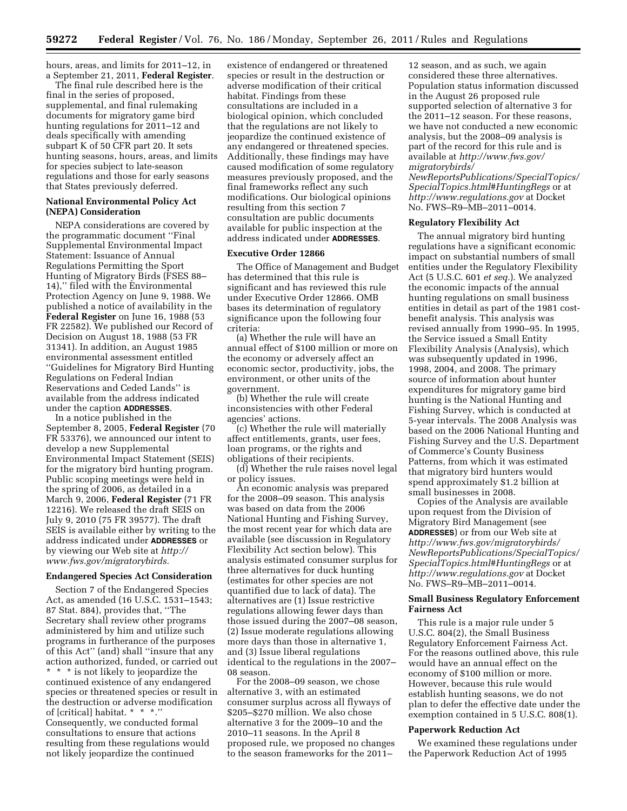hours, areas, and limits for 2011–12, in a September 21, 2011, **Federal Register**.

The final rule described here is the final in the series of proposed, supplemental, and final rulemaking documents for migratory game bird hunting regulations for 2011–12 and deals specifically with amending subpart K of 50 CFR part 20. It sets hunting seasons, hours, areas, and limits for species subject to late-season regulations and those for early seasons that States previously deferred.

### **National Environmental Policy Act (NEPA) Consideration**

NEPA considerations are covered by the programmatic document ''Final Supplemental Environmental Impact Statement: Issuance of Annual Regulations Permitting the Sport Hunting of Migratory Birds (FSES 88– 14),'' filed with the Environmental Protection Agency on June 9, 1988. We published a notice of availability in the **Federal Register** on June 16, 1988 (53 FR 22582). We published our Record of Decision on August 18, 1988 (53 FR 31341). In addition, an August 1985 environmental assessment entitled ''Guidelines for Migratory Bird Hunting Regulations on Federal Indian Reservations and Ceded Lands'' is available from the address indicated under the caption **ADDRESSES**.

In a notice published in the September 8, 2005, **Federal Register** (70 FR 53376), we announced our intent to develop a new Supplemental Environmental Impact Statement (SEIS) for the migratory bird hunting program. Public scoping meetings were held in the spring of 2006, as detailed in a March 9, 2006, **Federal Register** (71 FR 12216). We released the draft SEIS on July 9, 2010 (75 FR 39577). The draft SEIS is available either by writing to the address indicated under **ADDRESSES** or by viewing our Web site at *[http://](http://www.fws.gov/migratorybirds)  [www.fws.gov/migratorybirds.](http://www.fws.gov/migratorybirds)* 

### **Endangered Species Act Consideration**

Section 7 of the Endangered Species Act, as amended (16 U.S.C. 1531–1543; 87 Stat. 884), provides that, ''The Secretary shall review other programs administered by him and utilize such programs in furtherance of the purposes of this Act'' (and) shall ''insure that any action authorized, funded, or carried out \* \* \* is not likely to jeopardize the continued existence of any endangered species or threatened species or result in the destruction or adverse modification of [critical] habitat. \* \* \*.'' Consequently, we conducted formal consultations to ensure that actions resulting from these regulations would not likely jeopardize the continued

existence of endangered or threatened species or result in the destruction or adverse modification of their critical habitat. Findings from these consultations are included in a biological opinion, which concluded that the regulations are not likely to jeopardize the continued existence of any endangered or threatened species. Additionally, these findings may have caused modification of some regulatory measures previously proposed, and the final frameworks reflect any such modifications. Our biological opinions resulting from this section 7 consultation are public documents available for public inspection at the address indicated under **ADDRESSES**.

### **Executive Order 12866**

The Office of Management and Budget has determined that this rule is significant and has reviewed this rule under Executive Order 12866. OMB bases its determination of regulatory significance upon the following four criteria:

(a) Whether the rule will have an annual effect of \$100 million or more on the economy or adversely affect an economic sector, productivity, jobs, the environment, or other units of the government.

(b) Whether the rule will create inconsistencies with other Federal agencies' actions.

(c) Whether the rule will materially affect entitlements, grants, user fees, loan programs, or the rights and obligations of their recipients.

(d) Whether the rule raises novel legal or policy issues.

An economic analysis was prepared for the 2008–09 season. This analysis was based on data from the 2006 National Hunting and Fishing Survey, the most recent year for which data are available (see discussion in Regulatory Flexibility Act section below). This analysis estimated consumer surplus for three alternatives for duck hunting (estimates for other species are not quantified due to lack of data). The alternatives are (1) Issue restrictive regulations allowing fewer days than those issued during the 2007–08 season, (2) Issue moderate regulations allowing more days than those in alternative 1, and (3) Issue liberal regulations identical to the regulations in the 2007– 08 season.

For the 2008–09 season, we chose alternative 3, with an estimated consumer surplus across all flyways of \$205–\$270 million. We also chose alternative 3 for the 2009–10 and the 2010–11 seasons. In the April 8 proposed rule, we proposed no changes to the season frameworks for the 2011–

12 season, and as such, we again considered these three alternatives. Population status information discussed in the August 26 proposed rule supported selection of alternative 3 for the 2011–12 season. For these reasons, we have not conducted a new economic analysis, but the 2008–09 analysis is part of the record for this rule and is available at *[http://www.fws.gov/](http://www.fws.gov/migratorybirds/NewReportsPublications/SpecialTopics/SpecialTopics.html#HuntingRegs)  [migratorybirds/](http://www.fws.gov/migratorybirds/NewReportsPublications/SpecialTopics/SpecialTopics.html#HuntingRegs)* 

*[NewReportsPublications/SpecialTopics/](http://www.fws.gov/migratorybirds/NewReportsPublications/SpecialTopics/SpecialTopics.html#HuntingRegs)  [SpecialTopics.html#HuntingRegs](http://www.fws.gov/migratorybirds/NewReportsPublications/SpecialTopics/SpecialTopics.html#HuntingRegs)* or at *<http://www.regulations.gov>* at Docket No. FWS–R9–MB–2011–0014.

#### **Regulatory Flexibility Act**

The annual migratory bird hunting regulations have a significant economic impact on substantial numbers of small entities under the Regulatory Flexibility Act (5 U.S.C. 601 *et seq.*). We analyzed the economic impacts of the annual hunting regulations on small business entities in detail as part of the 1981 costbenefit analysis. This analysis was revised annually from 1990–95. In 1995, the Service issued a Small Entity Flexibility Analysis (Analysis), which was subsequently updated in 1996, 1998, 2004, and 2008. The primary source of information about hunter expenditures for migratory game bird hunting is the National Hunting and Fishing Survey, which is conducted at 5-year intervals. The 2008 Analysis was based on the 2006 National Hunting and Fishing Survey and the U.S. Department of Commerce's County Business Patterns, from which it was estimated that migratory bird hunters would spend approximately \$1.2 billion at small businesses in 2008.

Copies of the Analysis are available upon request from the Division of Migratory Bird Management (see **ADDRESSES**) or from our Web site at *[http://www.fws.gov/migratorybirds/](http://www.fws.gov/migratorybirds/NewReportsPublications/SpecialTopics/SpecialTopics.html#HuntingRegs)  [NewReportsPublications/SpecialTopics/](http://www.fws.gov/migratorybirds/NewReportsPublications/SpecialTopics/SpecialTopics.html#HuntingRegs)  [SpecialTopics.html#HuntingRegs](http://www.fws.gov/migratorybirds/NewReportsPublications/SpecialTopics/SpecialTopics.html#HuntingRegs)* or at *<http://www.regulations.gov>* at Docket No. FWS–R9–MB–2011–0014.

### **Small Business Regulatory Enforcement Fairness Act**

This rule is a major rule under 5 U.S.C. 804(2), the Small Business Regulatory Enforcement Fairness Act. For the reasons outlined above, this rule would have an annual effect on the economy of \$100 million or more. However, because this rule would establish hunting seasons, we do not plan to defer the effective date under the exemption contained in 5 U.S.C. 808(1).

#### **Paperwork Reduction Act**

We examined these regulations under the Paperwork Reduction Act of 1995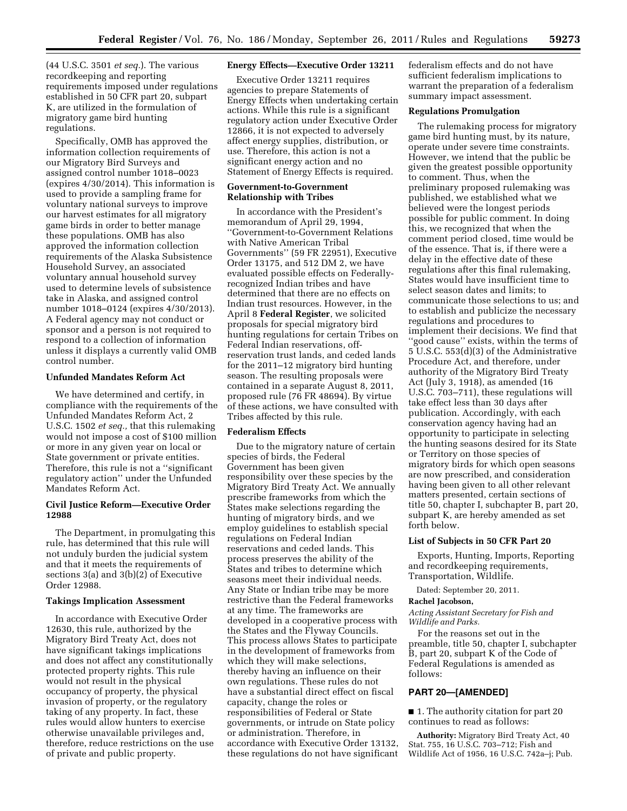(44 U.S.C. 3501 *et seq.*). The various recordkeeping and reporting requirements imposed under regulations established in 50 CFR part 20, subpart K, are utilized in the formulation of migratory game bird hunting regulations.

Specifically, OMB has approved the information collection requirements of our Migratory Bird Surveys and assigned control number 1018–0023 (expires 4/30/2014). This information is used to provide a sampling frame for voluntary national surveys to improve our harvest estimates for all migratory game birds in order to better manage these populations. OMB has also approved the information collection requirements of the Alaska Subsistence Household Survey, an associated voluntary annual household survey used to determine levels of subsistence take in Alaska, and assigned control number 1018–0124 (expires 4/30/2013). A Federal agency may not conduct or sponsor and a person is not required to respond to a collection of information unless it displays a currently valid OMB control number.

## **Unfunded Mandates Reform Act**

We have determined and certify, in compliance with the requirements of the Unfunded Mandates Reform Act, 2 U.S.C. 1502 *et seq.,* that this rulemaking would not impose a cost of \$100 million or more in any given year on local or State government or private entities. Therefore, this rule is not a ''significant regulatory action'' under the Unfunded Mandates Reform Act.

### **Civil Justice Reform—Executive Order 12988**

The Department, in promulgating this rule, has determined that this rule will not unduly burden the judicial system and that it meets the requirements of sections 3(a) and 3(b)(2) of Executive Order 12988.

### **Takings Implication Assessment**

In accordance with Executive Order 12630, this rule, authorized by the Migratory Bird Treaty Act, does not have significant takings implications and does not affect any constitutionally protected property rights. This rule would not result in the physical occupancy of property, the physical invasion of property, or the regulatory taking of any property. In fact, these rules would allow hunters to exercise otherwise unavailable privileges and, therefore, reduce restrictions on the use of private and public property.

### **Energy Effects—Executive Order 13211**

Executive Order 13211 requires agencies to prepare Statements of Energy Effects when undertaking certain actions. While this rule is a significant regulatory action under Executive Order 12866, it is not expected to adversely affect energy supplies, distribution, or use. Therefore, this action is not a significant energy action and no Statement of Energy Effects is required.

### **Government-to-Government Relationship with Tribes**

In accordance with the President's memorandum of April 29, 1994, ''Government-to-Government Relations with Native American Tribal Governments'' (59 FR 22951), Executive Order 13175, and 512 DM 2, we have evaluated possible effects on Federallyrecognized Indian tribes and have determined that there are no effects on Indian trust resources. However, in the April 8 **Federal Register**, we solicited proposals for special migratory bird hunting regulations for certain Tribes on Federal Indian reservations, offreservation trust lands, and ceded lands for the 2011–12 migratory bird hunting season. The resulting proposals were contained in a separate August 8, 2011, proposed rule (76 FR 48694). By virtue of these actions, we have consulted with Tribes affected by this rule.

#### **Federalism Effects**

Due to the migratory nature of certain species of birds, the Federal Government has been given responsibility over these species by the Migratory Bird Treaty Act. We annually prescribe frameworks from which the States make selections regarding the hunting of migratory birds, and we employ guidelines to establish special regulations on Federal Indian reservations and ceded lands. This process preserves the ability of the States and tribes to determine which seasons meet their individual needs. Any State or Indian tribe may be more restrictive than the Federal frameworks at any time. The frameworks are developed in a cooperative process with the States and the Flyway Councils. This process allows States to participate in the development of frameworks from which they will make selections, thereby having an influence on their own regulations. These rules do not have a substantial direct effect on fiscal capacity, change the roles or responsibilities of Federal or State governments, or intrude on State policy or administration. Therefore, in accordance with Executive Order 13132, these regulations do not have significant federalism effects and do not have sufficient federalism implications to warrant the preparation of a federalism summary impact assessment.

### **Regulations Promulgation**

The rulemaking process for migratory game bird hunting must, by its nature, operate under severe time constraints. However, we intend that the public be given the greatest possible opportunity to comment. Thus, when the preliminary proposed rulemaking was published, we established what we believed were the longest periods possible for public comment. In doing this, we recognized that when the comment period closed, time would be of the essence. That is, if there were a delay in the effective date of these regulations after this final rulemaking, States would have insufficient time to select season dates and limits; to communicate those selections to us; and to establish and publicize the necessary regulations and procedures to implement their decisions. We find that "good cause" exists, within the terms of 5 U.S.C. 553(d)(3) of the Administrative Procedure Act, and therefore, under authority of the Migratory Bird Treaty Act (July 3, 1918), as amended (16 U.S.C. 703–711), these regulations will take effect less than 30 days after publication. Accordingly, with each conservation agency having had an opportunity to participate in selecting the hunting seasons desired for its State or Territory on those species of migratory birds for which open seasons are now prescribed, and consideration having been given to all other relevant matters presented, certain sections of title 50, chapter I, subchapter B, part 20, subpart K, are hereby amended as set forth below.

#### **List of Subjects in 50 CFR Part 20**

Exports, Hunting, Imports, Reporting and recordkeeping requirements, Transportation, Wildlife.

Dated: September 20, 2011.

#### **Rachel Jacobson,**

*Acting Assistant Secretary for Fish and Wildlife and Parks.* 

For the reasons set out in the preamble, title 50, chapter I, subchapter B, part 20, subpart K of the Code of Federal Regulations is amended as follows:

### **PART 20—[AMENDED]**

■ 1. The authority citation for part 20 continues to read as follows:

**Authority:** Migratory Bird Treaty Act, 40 Stat. 755, 16 U.S.C. 703–712; Fish and Wildlife Act of 1956, 16 U.S.C. 742a–j; Pub.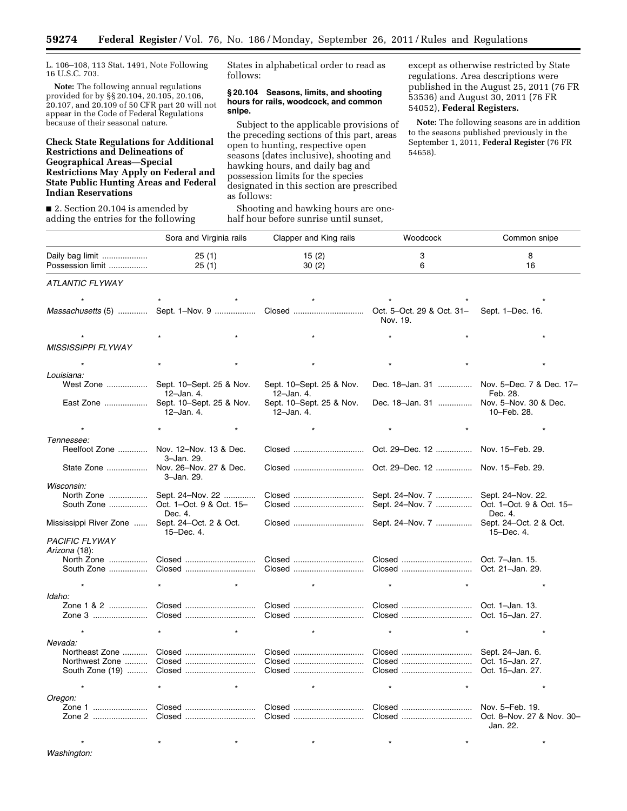L. 106–108, 113 Stat. 1491, Note Following 16 U.S.C. 703.

**Note:** The following annual regulations provided for by §§ 20.104, 20.105, 20.106, 20.107, and 20.109 of 50 CFR part 20 will not appear in the Code of Federal Regulations because of their seasonal nature.

### **Check State Regulations for Additional Restrictions and Delineations of Geographical Areas—Special Restrictions May Apply on Federal and State Public Hunting Areas and Federal Indian Reservations**

■ 2. Section 20.104 is amended by adding the entries for the following States in alphabetical order to read as follows:

#### **§ 20.104 Seasons, limits, and shooting hours for rails, woodcock, and common snipe.**

Subject to the applicable provisions of the preceding sections of this part, areas open to hunting, respective open seasons (dates inclusive), shooting and hawking hours, and daily bag and possession limits for the species designated in this section are prescribed as follows:

Shooting and hawking hours are onehalf hour before sunrise until sunset,

except as otherwise restricted by State regulations. Area descriptions were published in the August 25, 2011 (76 FR 53536) and August 30, 2011 (76 FR 54052), **Federal Registers.** 

**Note:** The following seasons are in addition to the seasons published previously in the September 1, 2011, **Federal Register** (76 FR 54658).

|                           | Sora and Virginia rails                   | Clapper and King rails                 | Woodcock                                        | Common snipe                                          |
|---------------------------|-------------------------------------------|----------------------------------------|-------------------------------------------------|-------------------------------------------------------|
| Daily bag limit           | 25(1)                                     | 15(2)                                  | 3                                               | 8                                                     |
| Possession limit          | 25(1)                                     | 30(2)                                  | 6                                               | 16                                                    |
| ATLANTIC FLYWAY           |                                           |                                        |                                                 |                                                       |
|                           |                                           |                                        |                                                 |                                                       |
|                           | Massachusetts (5)  Sept. 1-Nov. 9  Closed |                                        | Oct. 5-Oct. 29 & Oct. 31-<br>Nov. 19.           | Sept. 1-Dec. 16.                                      |
|                           |                                           |                                        |                                                 |                                                       |
| <b>MISSISSIPPI FLYWAY</b> |                                           |                                        |                                                 |                                                       |
|                           |                                           |                                        |                                                 |                                                       |
|                           |                                           |                                        |                                                 |                                                       |
| Louisiana:                |                                           |                                        |                                                 |                                                       |
| West Zone                 | Sept. 10–Sept. 25 & Nov.<br>12-Jan. 4.    | Sept. 10–Sept. 25 & Nov.<br>12-Jan. 4. |                                                 | Dec. 18-Jan. 31  Nov. 5-Dec. 7 & Dec. 17-<br>Feb. 28. |
| East Zone                 | Sept. 10-Sept. 25 & Nov.<br>12-Jan. 4.    | Sept. 10-Sept. 25 & Nov.<br>12-Jan. 4. | Dec. 18-Jan. 31  Nov. 5-Nov. 30 & Dec.          | 10-Feb. 28.                                           |
|                           |                                           |                                        |                                                 |                                                       |
| Tennessee:                |                                           |                                        |                                                 |                                                       |
| Reelfoot Zone             | Nov. 12-Nov. 13 & Dec.<br>3-Jan. 29.      | Closed                                 | Oct. 29–Dec. 12                                 | Nov. 15–Feb. 29.                                      |
| State Zone                | Nov. 26-Nov. 27 & Dec.<br>3-Jan. 29.      | Closed                                 | Oct. 29–Dec. 12  Nov. 15–Feb. 29.               |                                                       |
| Wisconsin:                |                                           |                                        |                                                 |                                                       |
| North Zone                | Sept. 24-Nov. 22                          |                                        | Sept. 24–Nov. 7                                 | Sept. 24-Nov. 22.                                     |
| South Zone                | Oct. 1-Oct. 9 & Oct. 15-<br>Dec. 4.       |                                        | Sept. 24–Nov. 7                                 | Oct. 1-Oct. 9 & Oct. 15-<br>Dec. 4.                   |
| Mississippi River Zone    | Sept. 24-Oct. 2 & Oct.<br>15-Dec. 4.      |                                        | Closed  Sept. 24-Nov. 7  Sept. 24-Oct. 2 & Oct. | 15-Dec. 4.                                            |
| <b>PACIFIC FLYWAY</b>     |                                           |                                        |                                                 |                                                       |
| Arizona (18):             |                                           |                                        |                                                 |                                                       |
| North Zone                |                                           |                                        |                                                 |                                                       |
| South Zone                |                                           |                                        |                                                 | Oct. 21-Jan. 29.                                      |
|                           |                                           |                                        |                                                 |                                                       |
| Idaho:                    |                                           |                                        |                                                 |                                                       |
| Zone 1 & 2                |                                           |                                        |                                                 | Oct. 1-Jan. 13.                                       |
| Zone 3                    |                                           |                                        |                                                 | Oct. 15-Jan. 27.                                      |
|                           |                                           |                                        |                                                 |                                                       |
| Nevada:                   |                                           |                                        |                                                 |                                                       |
| Northeast Zone            |                                           |                                        |                                                 |                                                       |
|                           |                                           | Northwest Zone  Closed  Closed         |                                                 | Oct. 15-Jan. 27.                                      |
|                           |                                           |                                        |                                                 |                                                       |
|                           |                                           |                                        |                                                 |                                                       |
|                           |                                           |                                        |                                                 |                                                       |
| Oregon:                   |                                           |                                        |                                                 |                                                       |
| Zone 1<br>Zone 2          |                                           |                                        |                                                 | Nov. 5-Feb. 19.<br>Oct. 8-Nov. 27 & Nov. 30-          |
|                           |                                           |                                        |                                                 | Jan. 22.                                              |
|                           |                                           |                                        |                                                 |                                                       |
| Washington:               |                                           |                                        |                                                 |                                                       |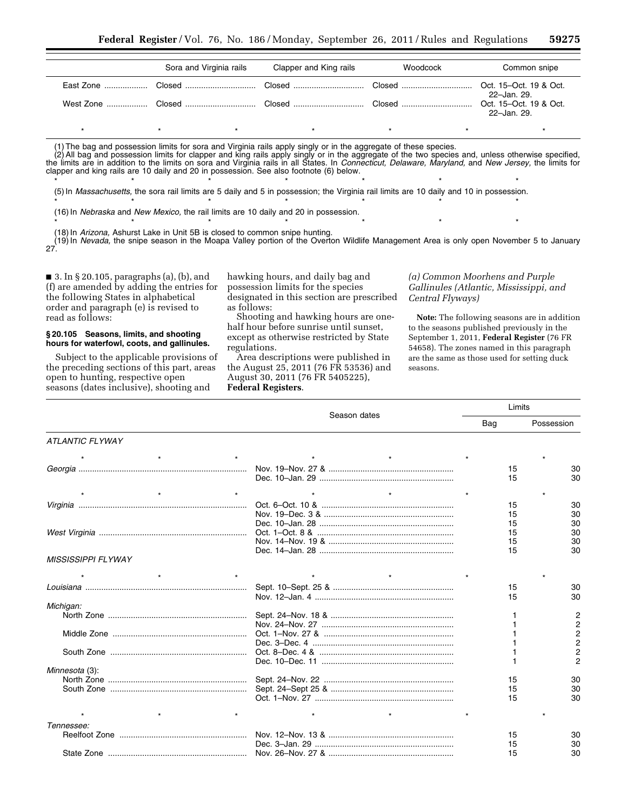|  | Sora and Virginia rails | Clapper and King rails | Woodcock | Common snipe |
|--|-------------------------|------------------------|----------|--------------|
|  |                         |                        |          | 22-Jan. 29.  |
|  |                         |                        |          | 22-Jan. 29.  |
|  | $\star$                 | $\star$                | $\star$  |              |

(1) The bag and possession limits for sora and Virginia rails apply singly or in the aggregate of these species.

(2) All bag and possession limits for clapper and king rails apply singly or in the aggregate of the two species and, unless otherwise specified, the limits are in addition to the limits on sora and Virginia rails in all States. In *Connecticut, Delaware, Maryland,* and *New Jersey,* the limits for clapper and king rails are 10 daily and 20 in possession. See also footnote (6) below.

\* \* \* \* \* \* \* \* \* \* \* \* \* \* \* (5) In *Massachusetts,* the sora rail limits are 5 daily and 5 in possession; the Virginia rail limits are 10 daily and 10 in possession. \* \* \* \* \* \* \* \* \* \* \* \* \*

\* \* \* \* \* \* \* \* \* \* \* \* \* \* \*

(16) In *Nebraska* and *New Mexico,* the rail limits are 10 daily and 20 in possession.

(18) In *Arizona,* Ashurst Lake in Unit 5B is closed to common snipe hunting.

(19) In *Nevada,* the snipe season in the Moapa Valley portion of the Overton Wildlife Management Area is only open November 5 to January 27.

■ 3. In § 20.105, paragraphs (a), (b), and (f) are amended by adding the entries for the following States in alphabetical order and paragraph (e) is revised to read as follows:

#### **§ 20.105 Seasons, limits, and shooting hours for waterfowl, coots, and gallinules.**

Subject to the applicable provisions of the preceding sections of this part, areas open to hunting, respective open seasons (dates inclusive), shooting and

hawking hours, and daily bag and possession limits for the species designated in this section are prescribed as follows:

Shooting and hawking hours are onehalf hour before sunrise until sunset, except as otherwise restricted by State regulations.

Area descriptions were published in the August 25, 2011 (76 FR 53536) and August 30, 2011 (76 FR 5405225), **Federal Registers**.

### *(a) Common Moorhens and Purple Gallinules (Atlantic, Mississippi, and Central Flyways)*

**Note:** The following seasons are in addition to the seasons published previously in the September 1, 2011, **Federal Register** (76 FR 54658). The zones named in this paragraph are the same as those used for setting duck seasons.

|                           | Season dates | Limits |                |
|---------------------------|--------------|--------|----------------|
|                           |              | Bag    | Possession     |
| <b>ATLANTIC FLYWAY</b>    |              |        |                |
|                           |              |        |                |
|                           |              | 15     | 30             |
|                           |              | 15     | 30             |
| $\star$                   |              |        |                |
|                           |              | 15     | 30             |
|                           |              | 15     | 30             |
|                           |              | 15     | 30             |
|                           |              | 15     | 30             |
|                           |              | 15     | 30             |
|                           |              | 15     | 30             |
| <b>MISSISSIPPI FLYWAY</b> |              |        |                |
|                           |              |        |                |
|                           |              | 15     | 30             |
|                           |              | 15     | 30             |
| Michigan:                 |              |        |                |
|                           |              |        | $\overline{c}$ |
|                           |              |        | $\overline{c}$ |
|                           |              |        | $\overline{c}$ |
|                           |              |        | $\overline{2}$ |
|                           |              |        | $\overline{2}$ |
|                           |              |        | 2              |
| Minnesota (3):            |              |        |                |
|                           |              | 15     | 30             |
|                           |              | 15     | 30             |
|                           |              | 15     | 30             |
|                           |              |        |                |
| Tennessee:                |              |        |                |
|                           |              | 15     | 30             |
|                           |              | 15     | 30             |
|                           |              | 15     | 30             |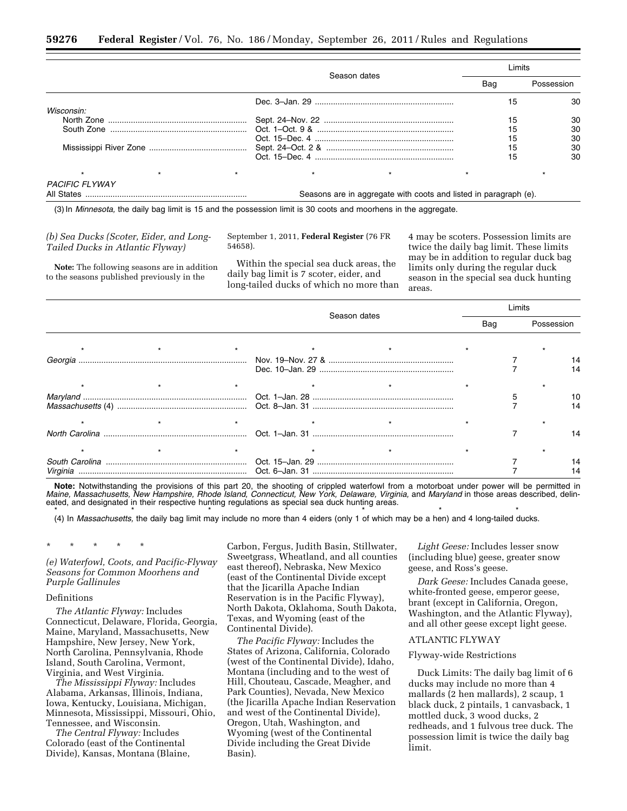|                       |  |                                                                  | Limits |            |
|-----------------------|--|------------------------------------------------------------------|--------|------------|
|                       |  | Season dates                                                     | Bag    | Possession |
|                       |  |                                                                  | 15     | 30         |
| Wisconsin:            |  |                                                                  |        |            |
|                       |  |                                                                  | 15     | 30         |
|                       |  |                                                                  |        | 30         |
|                       |  |                                                                  | 15     | 30         |
|                       |  |                                                                  | 15     | 30         |
|                       |  |                                                                  | 15     | 30         |
|                       |  |                                                                  |        |            |
| <b>PACIFIC FLYWAY</b> |  |                                                                  |        |            |
|                       |  | Seasons are in aggregate with coots and listed in paragraph (e). |        |            |

(3) In *Minnesota,* the daily bag limit is 15 and the possession limit is 30 coots and moorhens in the aggregate.

### *(b) Sea Ducks (Scoter, Eider, and Long-Tailed Ducks in Atlantic Flyway)*

**Note:** The following seasons are in addition to the seasons published previously in the

September 1, 2011, **Federal Register** (76 FR 54658).

Within the special sea duck areas, the daily bag limit is 7 scoter, eider, and long-tailed ducks of which no more than

4 may be scoters. Possession limits are twice the daily bag limit. These limits may be in addition to regular duck bag limits only during the regular duck season in the special sea duck hunting areas.

|          |  |              |     | imits |            |    |
|----------|--|--------------|-----|-------|------------|----|
|          |  | Season dates | Bag |       | Possession |    |
|          |  |              |     |       |            |    |
| Georgia  |  |              |     |       |            |    |
|          |  |              |     |       |            |    |
|          |  |              |     |       |            |    |
|          |  |              |     |       |            |    |
|          |  |              |     |       |            | 14 |
|          |  |              |     |       |            |    |
| Virginia |  |              |     |       |            |    |

**Note:** Notwithstanding the provisions of this part 20, the shooting of crippled waterfowl from a motorboat under power will be permitted in *Maine, Massachusetts, New Hampshire, Rhode Island, Connecticut, New York, Delaware, Virginia, and Maryland* in those areas described, delineated, and designated in their respective hunting regulations as special sea duck hunting areas.

\* \* \* \* \* \* \* \* \* \* \* \* \* \* \* \* \* (4) In *Massachusetts,* the daily bag limit may include no more than 4 eiders (only 1 of which may be a hen) and 4 long-tailed ducks.

\* \* \* \* \*

*(e) Waterfowl, Coots, and Pacific-Flyway Seasons for Common Moorhens and Purple Gallinules* 

### Definitions

*The Atlantic Flyway:* Includes Connecticut, Delaware, Florida, Georgia, Maine, Maryland, Massachusetts, New Hampshire, New Jersey, New York, North Carolina, Pennsylvania, Rhode Island, South Carolina, Vermont, Virginia, and West Virginia.

*The Mississippi Flyway:* Includes Alabama, Arkansas, Illinois, Indiana, Iowa, Kentucky, Louisiana, Michigan, Minnesota, Mississippi, Missouri, Ohio, Tennessee, and Wisconsin.

*The Central Flyway:* Includes Colorado (east of the Continental Divide), Kansas, Montana (Blaine, Carbon, Fergus, Judith Basin, Stillwater, Sweetgrass, Wheatland, and all counties east thereof), Nebraska, New Mexico (east of the Continental Divide except that the Jicarilla Apache Indian Reservation is in the Pacific Flyway), North Dakota, Oklahoma, South Dakota, Texas, and Wyoming (east of the Continental Divide).

*The Pacific Flyway:* Includes the States of Arizona, California, Colorado (west of the Continental Divide), Idaho, Montana (including and to the west of Hill, Chouteau, Cascade, Meagher, and Park Counties), Nevada, New Mexico (the Jicarilla Apache Indian Reservation and west of the Continental Divide), Oregon, Utah, Washington, and Wyoming (west of the Continental Divide including the Great Divide Basin).

*Light Geese:* Includes lesser snow (including blue) geese, greater snow geese, and Ross's geese.

*Dark Geese:* Includes Canada geese, white-fronted geese, emperor geese, brant (except in California, Oregon, Washington, and the Atlantic Flyway), and all other geese except light geese.

### ATLANTIC FLYWAY

#### Flyway-wide Restrictions

Duck Limits: The daily bag limit of 6 ducks may include no more than 4 mallards (2 hen mallards), 2 scaup, 1 black duck, 2 pintails, 1 canvasback, 1 mottled duck, 3 wood ducks, 2 redheads, and 1 fulvous tree duck. The possession limit is twice the daily bag limit.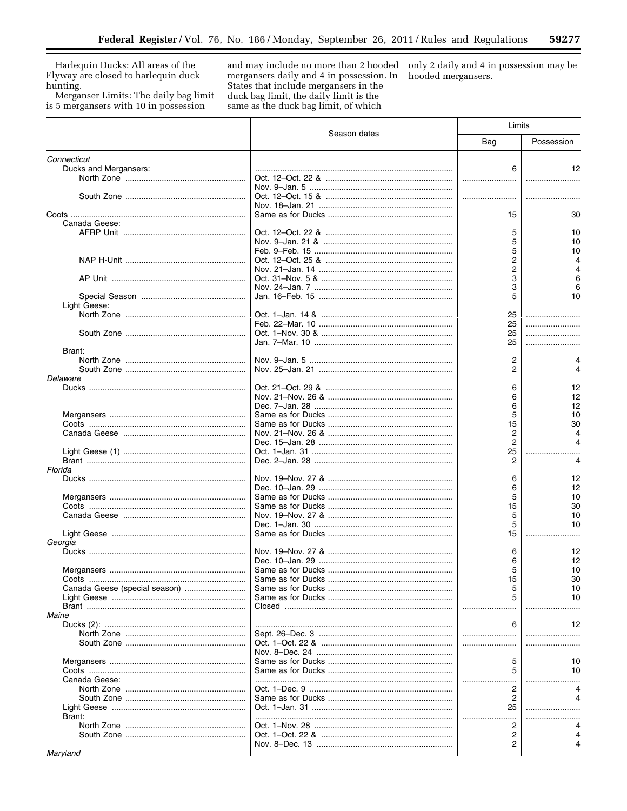Harlequin Ducks: All areas of the Flyway are closed to harlequin duck hunting.

Merganser Limits: The daily bag limit is 5 mergansers with 10 in possession

and may include no more than 2 hooded only 2 daily and 4 in possession may be mergansers daily and 4 in possession. In hooded mergansers. States that include mergansers in the duck bag limit, the daily limit is the same as the duck bag limit, of which

|                               |              | Limits         |            |
|-------------------------------|--------------|----------------|------------|
|                               | Season dates | Bag            | Possession |
| Connecticut                   |              |                |            |
| Ducks and Mergansers:         |              | 6              | 12         |
|                               |              |                |            |
|                               |              |                |            |
|                               |              |                |            |
|                               |              |                |            |
|                               |              | 15             | 30         |
| Canada Geese:                 |              |                |            |
|                               |              | 5              | 10         |
|                               |              | 5              | 10         |
|                               |              | 5              | 10         |
|                               |              | 2              |            |
|                               |              | 2              |            |
|                               |              | 3              | 6          |
|                               |              | 3              | 6          |
|                               |              | 5              | 10         |
| Light Geese:                  |              |                |            |
|                               |              | 25             |            |
|                               |              | 25             |            |
|                               |              | 25             |            |
|                               |              | 25             |            |
| Brant:                        |              |                |            |
|                               |              | 2              | 4          |
|                               |              | 2              |            |
| Delaware                      |              |                |            |
|                               |              | 6              | 12         |
|                               |              | 6              | 12         |
|                               |              | 6              | 12         |
|                               |              | 5              | 10         |
|                               |              | 15             | 30         |
|                               |              | 2              |            |
|                               |              | $\overline{2}$ |            |
|                               |              | 25             |            |
|                               |              | 2              | 4          |
| Florida                       |              |                |            |
|                               |              | 6              | 12         |
|                               |              | 6              | 12         |
|                               |              | 5              | 10         |
|                               |              | 15             | 30         |
|                               |              | 5              | 10         |
|                               |              | 5              | 10         |
|                               |              | 15             |            |
| Georgia                       |              |                |            |
|                               |              | 6              | 12         |
|                               |              | 6              | 12         |
|                               |              | 5              | 10         |
|                               |              | 15             | 30         |
| Canada Geese (special season) |              | 5              | 10         |
|                               |              | 5              | 10         |
|                               |              |                |            |
| Maine                         |              |                |            |
|                               |              | 6              | 12         |
|                               |              |                |            |
|                               |              |                |            |
|                               |              |                |            |
|                               |              | 5              | 10         |
|                               |              | 5              | 10         |
| Canada Geese:                 |              |                |            |
|                               |              | 2              |            |
|                               |              | 2              |            |
|                               |              | 25             |            |
| Brant:                        |              |                |            |
|                               |              | 2              | Δ          |
|                               |              | 2              |            |
|                               |              | 2              |            |
| Maryland                      |              |                |            |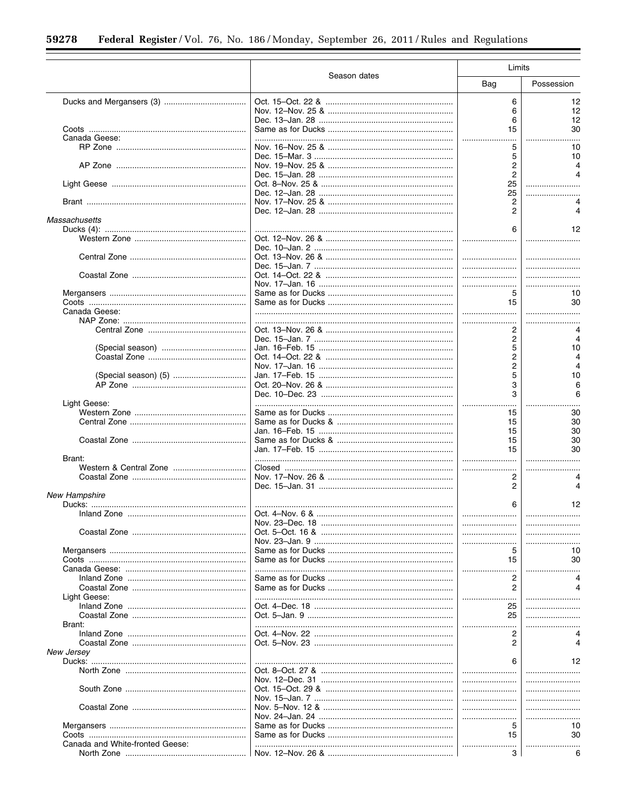|                                 |              | Limits  |            |  |
|---------------------------------|--------------|---------|------------|--|
|                                 | Season dates | Bag     | Possession |  |
|                                 |              | 6       | 12         |  |
|                                 |              | 6       | 12         |  |
|                                 |              | 6       | 12         |  |
|                                 |              | 15      | 30         |  |
| Canada Geese:                   |              |         |            |  |
|                                 |              | 5       | 10         |  |
|                                 |              | 5       | 10         |  |
|                                 |              | 2       | 4          |  |
|                                 |              | 2       |            |  |
|                                 |              | 25      |            |  |
|                                 |              | 25      |            |  |
|                                 |              | 2       |            |  |
|                                 |              | 2       |            |  |
| Massachusetts                   |              |         |            |  |
|                                 |              | 6       | 12         |  |
|                                 |              |         |            |  |
|                                 |              |         |            |  |
|                                 |              |         |            |  |
|                                 |              |         |            |  |
|                                 |              |         |            |  |
|                                 |              |         |            |  |
|                                 |              | 5       | 10         |  |
|                                 |              | 15      | 30         |  |
| Canada Geese:                   |              |         |            |  |
|                                 |              |         |            |  |
|                                 |              | 2       |            |  |
|                                 |              | 2       | 4          |  |
|                                 |              | 5       | 10         |  |
|                                 |              | 2       | 4          |  |
|                                 |              | 2       |            |  |
|                                 |              | 5       | 10         |  |
|                                 |              | 3       |            |  |
|                                 |              | 3       |            |  |
| Light Geese:                    |              |         |            |  |
|                                 |              | 15      | 30         |  |
|                                 |              | 15      | 30         |  |
|                                 |              | 15      | 30         |  |
|                                 |              | 15      | 30         |  |
|                                 |              | 15      | 30         |  |
| Brant:                          |              |         |            |  |
|                                 |              |         |            |  |
|                                 |              | 2       |            |  |
|                                 |              | 2       | 4          |  |
| New Hampshire                   |              |         |            |  |
|                                 |              | 6       | 12         |  |
|                                 |              |         |            |  |
|                                 |              |         |            |  |
|                                 |              |         |            |  |
|                                 |              |         |            |  |
|                                 |              | 5<br>15 | 10<br>30   |  |
|                                 |              |         |            |  |
|                                 |              |         |            |  |
|                                 |              | 2<br>2  |            |  |
| Light Geese:                    |              |         |            |  |
|                                 |              | 25      |            |  |
|                                 |              | 25      |            |  |
| Brant:                          |              |         |            |  |
|                                 |              | 2       |            |  |
|                                 |              | 2       |            |  |
| New Jersey                      |              |         |            |  |
|                                 |              | 6       | 12         |  |
|                                 |              |         |            |  |
|                                 |              |         |            |  |
|                                 |              |         |            |  |
|                                 |              |         |            |  |
|                                 |              |         |            |  |
|                                 |              |         |            |  |
|                                 |              | 5       | 10         |  |
|                                 |              | 15      | 30         |  |
| Canada and White-fronted Geese: |              |         |            |  |
|                                 |              | 3       | 6          |  |
|                                 |              |         |            |  |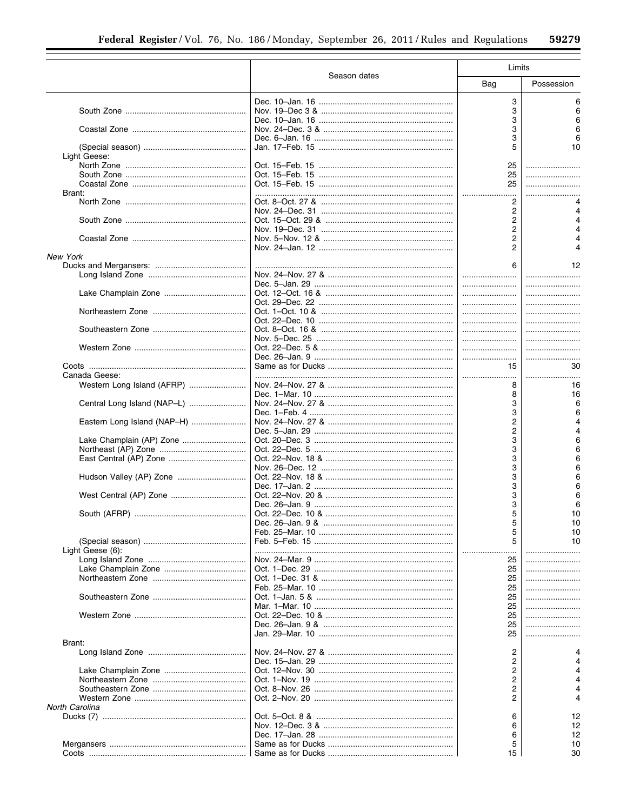|                             |              | Limits         |            |  |
|-----------------------------|--------------|----------------|------------|--|
|                             | Season dates | Bag            | Possession |  |
|                             |              |                |            |  |
|                             |              | 3              | 6          |  |
|                             |              | 3              | 6          |  |
|                             |              | 3              | 6          |  |
|                             |              | 3              |            |  |
|                             |              | 3              |            |  |
|                             |              | 5              | 10         |  |
| Light Geese:                |              |                |            |  |
|                             |              | 25             |            |  |
|                             |              | 25             |            |  |
|                             |              | 25             |            |  |
| Brant:                      |              |                |            |  |
|                             |              | 2              | 4          |  |
|                             |              | 2              | 4          |  |
|                             |              | 2              | 4          |  |
|                             |              | 2              |            |  |
|                             |              | 2              |            |  |
|                             |              | 2              |            |  |
| <b>New York</b>             |              |                |            |  |
|                             |              | 6              | 12         |  |
|                             |              |                |            |  |
|                             |              |                |            |  |
|                             |              |                |            |  |
|                             |              |                |            |  |
|                             |              |                |            |  |
|                             |              |                |            |  |
|                             |              |                |            |  |
|                             |              |                |            |  |
|                             |              |                |            |  |
|                             |              |                |            |  |
|                             |              |                |            |  |
|                             |              | 15             | 30         |  |
| Canada Geese:               |              |                |            |  |
| Western Long Island (AFRP)  |              | 8              | 16         |  |
|                             |              | 8              | 16         |  |
| Central Long Island (NAP-L) |              | 3              | 6          |  |
|                             |              | 3              | 6          |  |
| Eastern Long Island (NAP-H) |              | $\overline{c}$ | 4          |  |
|                             |              |                | 4          |  |
|                             |              | 2              |            |  |
| Lake Champlain (AP) Zone    |              | 3              | 6          |  |
|                             |              | 3              | 6          |  |
|                             |              | 3              | 6          |  |
|                             |              | 3              | 6          |  |
| Hudson Valley (AP) Zone     |              | 3              |            |  |
|                             |              | 3              |            |  |
|                             |              | 3              |            |  |
|                             |              | 3              | 6          |  |
|                             |              | 5              | 10         |  |
|                             |              | 5              | 10         |  |
|                             |              | 5              | 10         |  |
|                             |              | 5              | 10         |  |
| Light Geese (6):            |              |                |            |  |
|                             |              | 25             |            |  |
|                             |              | 25             |            |  |
|                             |              |                |            |  |
|                             |              | 25             |            |  |
|                             |              | 25             |            |  |
|                             |              | 25             |            |  |
|                             |              | 25             |            |  |
|                             |              | 25             |            |  |
|                             |              | 25             |            |  |
|                             |              | 25             |            |  |
| Brant:                      |              |                |            |  |
|                             |              | 2              | 4          |  |
|                             |              | 2              | 4          |  |
|                             |              | 2              | 4          |  |
|                             |              | 2              | 4          |  |
|                             |              | 2              | 4          |  |
|                             |              | 2              | 4          |  |
| North Carolina              |              |                |            |  |
|                             |              | 6              | 12         |  |
|                             |              |                |            |  |
|                             |              | 6              | 12         |  |
|                             |              | 6              | 12         |  |
|                             |              | 5              | 10         |  |
|                             |              | 15             | 30         |  |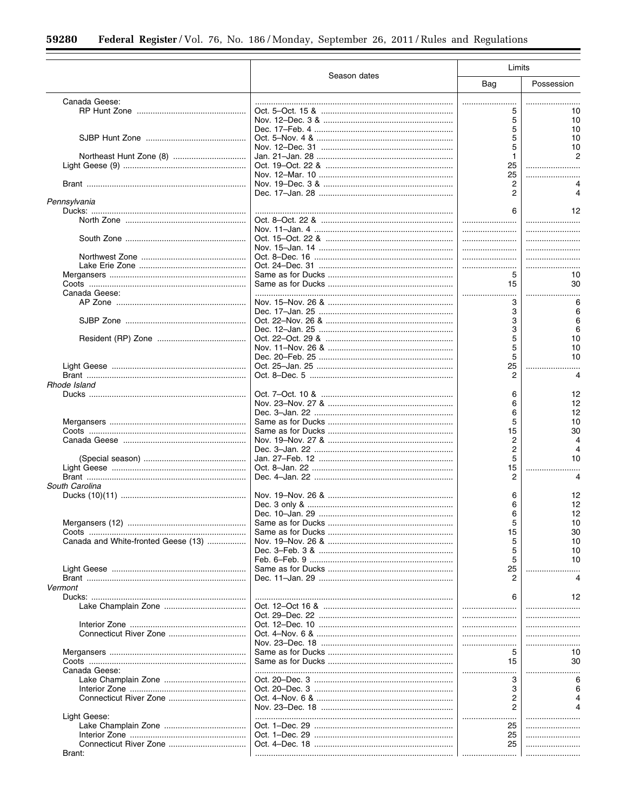|                                     |              | Limits         |            |  |
|-------------------------------------|--------------|----------------|------------|--|
|                                     | Season dates | Bag            | Possession |  |
| Canada Geese:                       |              |                |            |  |
|                                     |              |                | 10         |  |
|                                     |              | 5              | 10         |  |
|                                     |              | 5              | 10         |  |
|                                     |              | 5              | 10         |  |
|                                     |              | 5              | 10         |  |
|                                     |              | 1              |            |  |
|                                     |              | 25             |            |  |
|                                     |              | 25             |            |  |
|                                     |              | 2              |            |  |
|                                     |              | 2              |            |  |
| Pennsylvania                        |              |                |            |  |
|                                     |              | 6              | 12         |  |
|                                     |              |                |            |  |
|                                     |              |                |            |  |
|                                     |              |                |            |  |
|                                     |              |                |            |  |
|                                     |              |                |            |  |
|                                     |              |                |            |  |
|                                     |              | 5              | 10         |  |
|                                     |              | 15             | 30         |  |
| Canada Geese:                       |              |                |            |  |
|                                     |              | 3              | 6          |  |
|                                     |              | 3              | 6          |  |
|                                     |              | 3              | 6          |  |
|                                     |              | 3              | 6          |  |
|                                     |              | 5              |            |  |
|                                     |              |                | 10         |  |
|                                     |              | 5              | 10         |  |
|                                     |              | 5              | 10         |  |
|                                     |              | 25             |            |  |
|                                     |              | 2              | 4          |  |
| Rhode Island                        |              |                |            |  |
|                                     |              | 6              | 12         |  |
|                                     |              | 6              | 12         |  |
|                                     |              | 6              | 12         |  |
|                                     |              | 5              | 10         |  |
|                                     |              | 15             | 30         |  |
|                                     |              | 2              |            |  |
|                                     |              | $\overline{c}$ |            |  |
|                                     |              |                |            |  |
|                                     |              | 5              | 10         |  |
|                                     |              | 15             |            |  |
|                                     |              | 2              |            |  |
| South Carolina                      |              |                |            |  |
|                                     |              | 6              | 12         |  |
|                                     |              | 6              | 12         |  |
|                                     |              | 6              | 12         |  |
|                                     |              | 5              | 10         |  |
|                                     |              | 15             | 30         |  |
| Canada and White-fronted Geese (13) |              | 5              | 10         |  |
|                                     |              | 5              | 10         |  |
|                                     |              | 5              | 10         |  |
|                                     |              | 25             |            |  |
|                                     |              | 2              |            |  |
| Vermont                             |              |                |            |  |
|                                     |              |                |            |  |
|                                     |              | 6              | 12         |  |
|                                     |              |                |            |  |
|                                     |              |                |            |  |
|                                     |              |                |            |  |
|                                     |              |                |            |  |
|                                     |              |                |            |  |
|                                     |              | 5              | 10         |  |
|                                     |              | 15             | 30         |  |
| Canada Geese:                       |              |                |            |  |
|                                     |              | 3              |            |  |
|                                     |              | 3              |            |  |
|                                     |              | 2              |            |  |
|                                     |              | 2              |            |  |
|                                     |              |                |            |  |
| Light Geese:                        |              |                |            |  |
|                                     |              | 25             |            |  |
|                                     |              | 25             |            |  |
|                                     |              | 25             |            |  |
| Brant:                              |              |                |            |  |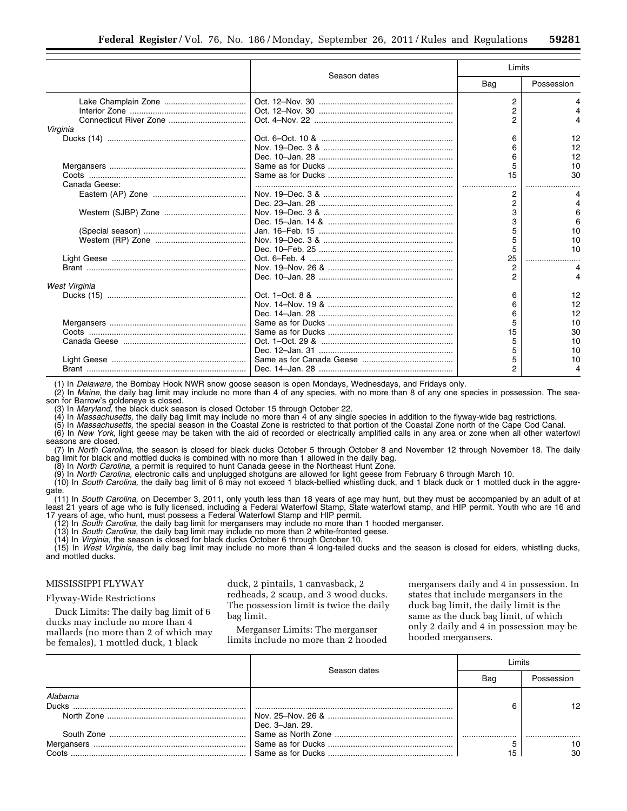|               |              | Limits         |            |
|---------------|--------------|----------------|------------|
|               | Season dates | Bag            | Possession |
|               |              | 2              |            |
|               |              | 2              |            |
|               |              |                |            |
| Virginia      |              |                |            |
|               |              | 6              | 12         |
|               |              |                | 12         |
|               |              |                | 12         |
|               |              |                | 10         |
|               |              | 15             | 30         |
| Canada Geese: |              |                |            |
|               |              | 2              |            |
|               |              | 2              |            |
|               |              | З              | 6          |
|               |              |                | 6          |
|               |              |                | 10         |
|               |              |                | 10         |
|               |              | 5              | 10         |
|               |              | 25             |            |
|               |              | $\overline{2}$ |            |
|               |              | っ              |            |
| West Virginia |              |                |            |
|               |              | 6              | 12         |
|               |              |                | 12         |
|               |              |                | 12         |
|               |              |                | 10         |
|               |              | 15             | 30         |
|               |              |                | 10         |
|               |              |                | 10         |
|               |              | 5              | 10         |
|               |              | っ              |            |

(1) In *Delaware,* the Bombay Hook NWR snow goose season is open Mondays, Wednesdays, and Fridays only.

(2) In *Maine,* the daily bag limit may include no more than 4 of any species, with no more than 8 of any one species in possession. The season for Barrow's goldeneye is closed.

(3) In *Maryland,* the black duck season is closed October 15 through October 22.

(4) In *Massachusetts,* the daily bag limit may include no more than 4 of any single species in addition to the flyway-wide bag restrictions.

(5) In *Massachusetts,* the special season in the Coastal Zone is restricted to that portion of the Coastal Zone north of the Cape Cod Canal.

(6) In *New York,* light geese may be taken with the aid of recorded or electrically amplified calls in any area or zone when all other waterfowl seasons are closed.

(7) In *North Carolina,* the season is closed for black ducks October 5 through October 8 and November 12 through November 18. The daily bag limit for black and mottled ducks is combined with no more than 1 allowed in the daily bag.

(8) In *North Carolina,* a permit is required to hunt Canada geese in the Northeast Hunt Zone.

(9) In *North Carolina,* electronic calls and unplugged shotguns are allowed for light geese from February 6 through March 10.

(10) In *South Carolina,* the daily bag limit of 6 may not exceed 1 black-bellied whistling duck, and 1 black duck or 1 mottled duck in the aggregate. (11) In *South Carolina,* on December 3, 2011, only youth less than 18 years of age may hunt, but they must be accompanied by an adult of at

least 21 years of age who is fully licensed, including a Federal Waterfowl Stamp, State waterfowl stamp, and HIP permit. Youth who are 16 and 17 years of age, who hunt, must possess a Federal Waterfowl Stamp and HIP permit.

(12) In *South Carolina,* the daily bag limit for mergansers may include no more than 1 hooded merganser.

(13) In *South Carolina,* the daily bag limit may include no more than 2 white-fronted geese.

(14) In *Virginia,* the season is closed for black ducks October 6 through October 10.<br>(15) In *West Virginia,* the daily bag limit may include no more than 4 long-tailed ducks and the season is closed for eiders, whistlin and mottled ducks.

## MISSISSIPPI FLYWAY

### Flyway-Wide Restrictions

Duck Limits: The daily bag limit of 6 ducks may include no more than 4 mallards (no more than 2 of which may be females), 1 mottled duck, 1 black

duck, 2 pintails, 1 canvasback, 2 redheads, 2 scaup, and 3 wood ducks. The possession limit is twice the daily bag limit.

Merganser Limits: The merganser limits include no more than 2 hooded mergansers daily and 4 in possession. In states that include mergansers in the duck bag limit, the daily limit is the same as the duck bag limit, of which only 2 daily and 4 in possession may be hooded mergansers.

|                         | Season dates    | imits |            |
|-------------------------|-----------------|-------|------------|
|                         |                 | Bag   | Possession |
| Alabama<br><b>Ducks</b> |                 |       | 1 2        |
|                         | Dec. 3-Jan. 29. |       |            |
|                         |                 |       |            |
|                         |                 |       |            |
|                         |                 |       | 30         |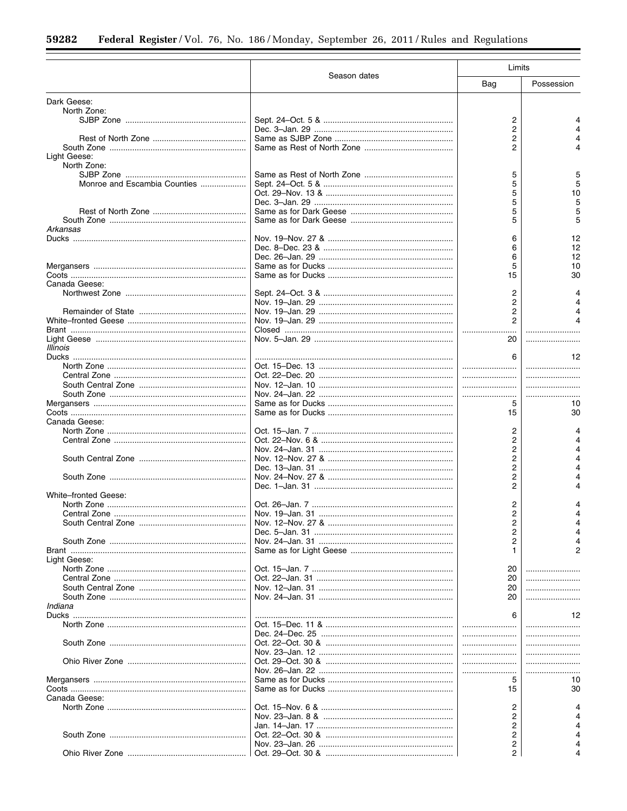|                              |              | Limits |            |  |
|------------------------------|--------------|--------|------------|--|
|                              | Season dates | Bag    | Possession |  |
| Dark Geese:                  |              |        |            |  |
| North Zone:                  |              |        |            |  |
|                              |              | 2      |            |  |
|                              |              | 2      |            |  |
|                              |              | 2      |            |  |
|                              |              | 2      |            |  |
| Light Geese:                 |              |        |            |  |
| North Zone:                  |              |        |            |  |
| Monroe and Escambia Counties |              | 5<br>5 |            |  |
|                              |              | 5      | 10         |  |
|                              |              | 5      | 5          |  |
|                              |              | 5      |            |  |
|                              |              | 5      | 5          |  |
| Arkansas                     |              |        |            |  |
|                              |              | 6      | 12         |  |
|                              |              | 6      | 12         |  |
|                              |              | 6      | 12         |  |
|                              |              | 5      | 10         |  |
|                              |              | 15     | 30         |  |
| Canada Geese:                |              |        |            |  |
|                              |              | 2      |            |  |
|                              |              | 2      |            |  |
|                              |              | 2      |            |  |
|                              |              |        |            |  |
|                              |              |        |            |  |
|                              |              | 20     |            |  |
| Illinois                     |              |        |            |  |
|                              |              | 6      | 12         |  |
|                              |              |        |            |  |
|                              |              |        | .          |  |
|                              |              |        |            |  |
|                              |              |        |            |  |
|                              |              | 5      | 10         |  |
|                              |              | 15     | 30         |  |
| Canada Geese:                |              |        |            |  |
|                              |              | 2      |            |  |
|                              |              | 2      |            |  |
|                              |              | 2      | Δ          |  |
|                              |              | 2      | 4          |  |
|                              |              | 2      |            |  |
|                              |              | 2      |            |  |
|                              |              | 2      |            |  |
| <b>White-fronted Geese:</b>  |              |        |            |  |
|                              |              | 2<br>2 |            |  |
|                              |              |        |            |  |
|                              |              | 2<br>2 |            |  |
|                              |              | 2      |            |  |
|                              |              |        |            |  |
| Light Geese:                 |              |        |            |  |
|                              |              | 20     |            |  |
|                              |              | 20     |            |  |
|                              |              | 20     |            |  |
|                              |              | 20     |            |  |
| Indiana                      |              |        |            |  |
|                              |              | 6      | 12         |  |
|                              |              |        |            |  |
|                              |              |        |            |  |
|                              |              |        |            |  |
|                              |              |        |            |  |
|                              |              |        |            |  |
|                              |              |        |            |  |
|                              |              | 5      | 10         |  |
|                              |              | 15     | 30         |  |
| Canada Geese:                |              |        |            |  |
|                              |              | 2      |            |  |
|                              |              | 2      |            |  |
|                              |              | 2      |            |  |
|                              |              | 2      |            |  |
|                              |              | 2      |            |  |
|                              |              | 2      |            |  |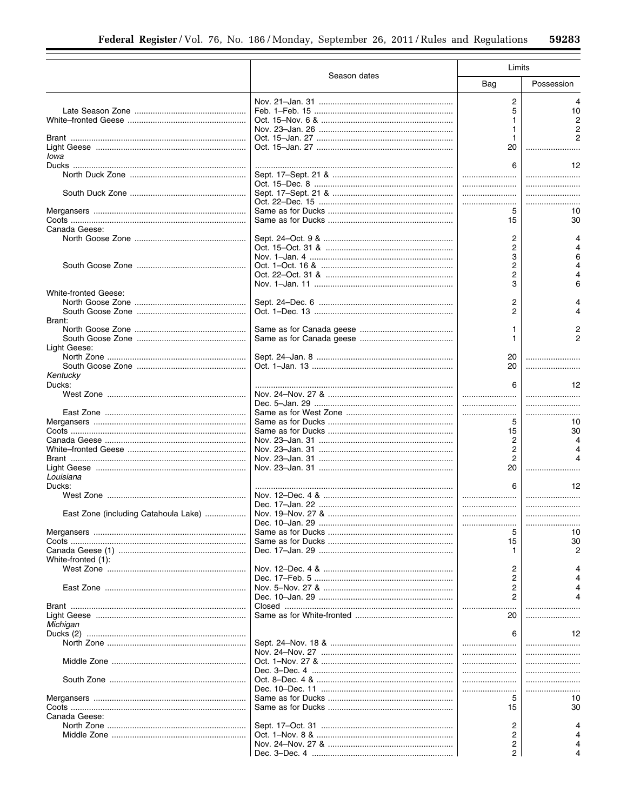|                                      |              | Limits         |            |  |
|--------------------------------------|--------------|----------------|------------|--|
|                                      | Season dates | Bag            | Possession |  |
|                                      |              | 2              |            |  |
|                                      |              | 5              | 10         |  |
|                                      |              | 1              |            |  |
|                                      |              |                |            |  |
|                                      |              | 1              |            |  |
|                                      |              | 20             |            |  |
| Iowa                                 |              |                |            |  |
|                                      |              | 6              | 12         |  |
|                                      |              |                |            |  |
|                                      |              |                |            |  |
|                                      |              |                |            |  |
|                                      |              | 5              | 10         |  |
|                                      |              | 15             | 30         |  |
| Canada Geese:                        |              |                |            |  |
|                                      |              | 2              |            |  |
|                                      |              | 2              |            |  |
|                                      |              | 3              | 6          |  |
|                                      |              | 2              |            |  |
|                                      |              | 2              |            |  |
|                                      |              | 3              | 6          |  |
| <b>White-fronted Geese:</b>          |              |                |            |  |
|                                      |              | 2              |            |  |
|                                      |              | 2              |            |  |
| Brant:                               |              |                |            |  |
|                                      |              | 1              |            |  |
|                                      |              | 1              |            |  |
| Light Geese:                         |              |                |            |  |
|                                      |              | 20             |            |  |
|                                      |              | 20             |            |  |
| Kentucky                             |              |                |            |  |
| Ducks:                               |              | 6              | 12         |  |
|                                      |              |                |            |  |
|                                      |              |                |            |  |
|                                      |              |                |            |  |
|                                      |              | 5              | 10<br>30   |  |
|                                      |              | 15<br>2        |            |  |
|                                      |              | 2              |            |  |
|                                      |              | $\overline{2}$ |            |  |
|                                      |              | 20             |            |  |
| Louisiana                            |              |                |            |  |
| Ducks:                               |              |                | 12         |  |
|                                      |              |                |            |  |
|                                      |              |                |            |  |
| East Zone (including Catahoula Lake) |              |                |            |  |
|                                      |              |                |            |  |
|                                      |              | 5              | 10         |  |
|                                      |              | 15             | 30         |  |
|                                      |              | 1.             |            |  |
| White-fronted (1):                   |              |                |            |  |
|                                      |              | 2              |            |  |
|                                      |              | 2              |            |  |
|                                      |              | 2              |            |  |
|                                      |              | 2              |            |  |
|                                      |              |                |            |  |
|                                      |              | 20             |            |  |
| Michigan                             |              |                |            |  |
|                                      |              | 6              | 12         |  |
|                                      |              |                |            |  |
|                                      |              |                |            |  |
|                                      |              |                |            |  |
|                                      |              |                |            |  |
|                                      |              |                |            |  |
|                                      |              |                |            |  |
|                                      |              | 5              | 10         |  |
|                                      |              | 15             | 30         |  |
| Canada Geese:                        |              | 2              |            |  |
|                                      |              | 2              |            |  |
|                                      |              | 2              |            |  |
|                                      |              | 2              |            |  |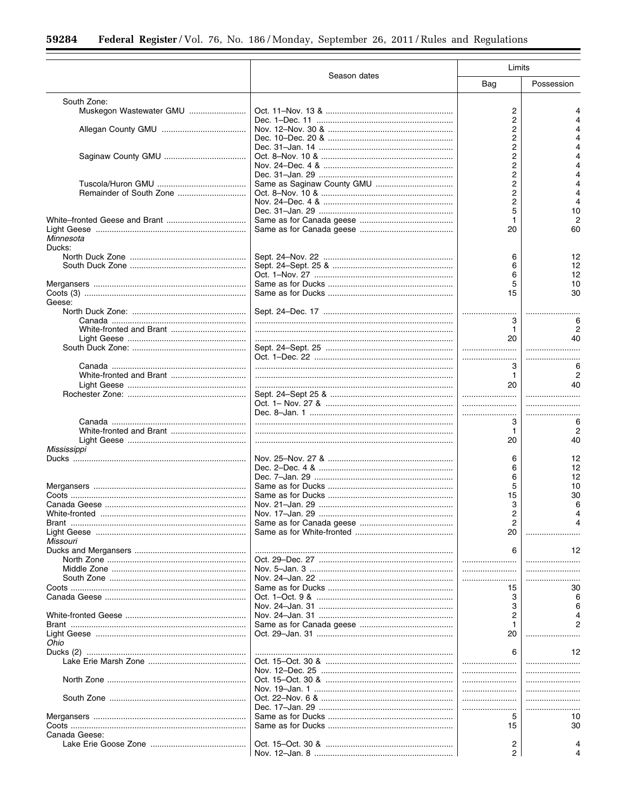|                         |              | Limits                  |            |
|-------------------------|--------------|-------------------------|------------|
|                         | Season dates | Bag                     | Possession |
| South Zone:             |              |                         |            |
| Muskegon Wastewater GMU |              | 2                       |            |
|                         |              | 2                       |            |
|                         |              | 2                       |            |
|                         |              | 2                       |            |
|                         |              | 2                       |            |
|                         |              | 2                       |            |
|                         |              | 2                       |            |
|                         |              | 2                       |            |
|                         |              | 2                       |            |
| Remainder of South Zone |              | 2                       | $\lambda$  |
|                         |              | $\overline{\mathbf{c}}$ | Δ          |
|                         |              | 5                       | 10         |
|                         |              | 1                       |            |
|                         |              | 20                      | 60         |
| Minnesota<br>Ducks:     |              |                         |            |
|                         |              |                         | 12         |
|                         |              | 6                       |            |
|                         |              | 6                       | 12<br>12   |
|                         |              | 6                       |            |
|                         |              | 5                       | 10         |
|                         |              | 15                      | 30         |
| Geese:                  |              |                         |            |
|                         |              |                         |            |
|                         |              | 3                       | 6          |
|                         |              | 1                       |            |
|                         |              | 20                      | 40         |
|                         |              |                         |            |
|                         |              |                         |            |
|                         |              | 3                       |            |
|                         |              | $\mathbf{1}$            |            |
|                         |              | 20                      | 40         |
|                         |              |                         |            |
|                         |              |                         |            |
|                         |              |                         |            |
|                         |              |                         | 6          |
|                         |              | 3                       |            |
| White-fronted and Brant |              | 1                       | 2          |
|                         |              | 20                      | 40         |
| Mississippi             |              |                         |            |
|                         |              | 6                       | 12         |
|                         |              | 6                       | 12         |
|                         |              | 6                       | 12         |
|                         |              | 5                       | 10         |
|                         |              | 15                      | 30         |
|                         |              | 3                       | 6          |
|                         |              | 2                       |            |
|                         |              | 2                       |            |
|                         |              | 20                      |            |
| Missouri                |              |                         |            |
|                         |              | 6                       | 12         |
|                         |              |                         |            |
|                         |              |                         |            |
|                         |              |                         |            |
|                         |              |                         |            |
|                         |              | 15                      | 30         |
|                         |              | 3                       | 6          |
|                         |              | 3                       |            |
|                         |              | 2                       |            |
|                         |              | 1                       |            |
|                         |              | 20                      |            |
| Ohio                    |              |                         |            |
|                         |              | 6                       | 12         |
|                         |              |                         |            |
|                         |              |                         |            |
|                         |              |                         |            |
|                         |              |                         |            |
|                         |              |                         |            |
|                         |              |                         |            |
|                         |              | 5                       | 10         |
|                         |              | 15                      | 30         |
| Canada Geese:           |              |                         |            |
|                         |              | 2                       |            |
|                         |              | 2                       |            |
|                         |              |                         |            |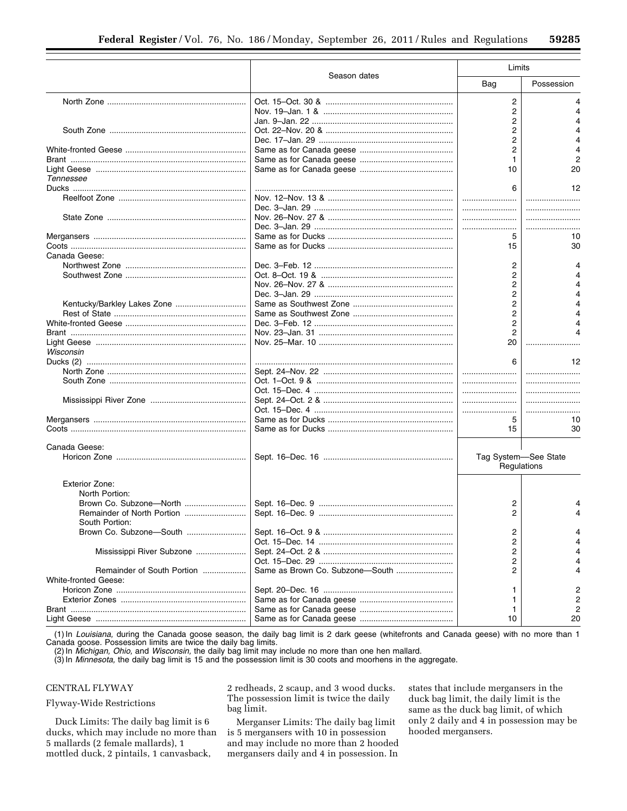|                             |              | Limits               |                |
|-----------------------------|--------------|----------------------|----------------|
|                             | Season dates | Bag                  | Possession     |
|                             |              | $\overline{c}$       | 4              |
|                             |              | 2                    |                |
|                             |              | 2                    |                |
|                             |              | 2                    |                |
|                             |              | 2                    | Δ              |
|                             |              | 2                    |                |
|                             |              | 1                    | 2              |
|                             |              | 10                   | 20             |
| Tennessee                   |              |                      |                |
|                             |              | 6                    | 12             |
|                             |              |                      |                |
|                             |              |                      |                |
|                             |              |                      |                |
|                             |              |                      |                |
|                             |              | 5                    | 10             |
|                             |              |                      |                |
|                             |              | 15                   | 30             |
| Canada Geese:               |              |                      |                |
|                             |              | 2                    |                |
|                             |              | 2                    |                |
|                             |              | 2                    |                |
|                             |              | 2                    |                |
| Kentucky/Barkley Lakes Zone |              | 2                    |                |
|                             |              | $\overline{2}$       |                |
|                             |              | 2                    |                |
|                             |              | $\overline{2}$       |                |
|                             |              | 20                   |                |
| Wisconsin                   |              |                      |                |
|                             |              |                      | 12             |
|                             |              |                      |                |
|                             |              |                      |                |
|                             |              |                      |                |
|                             |              |                      |                |
|                             |              |                      |                |
|                             |              | 5                    | 10             |
|                             |              | 15                   | 30             |
|                             |              |                      |                |
| Canada Geese:               |              |                      |                |
|                             |              | Tag System-See State |                |
|                             |              | Regulations          |                |
|                             |              |                      |                |
| Exterior Zone:              |              |                      |                |
| North Portion:              |              |                      |                |
| Brown Co. Subzone-North     |              | 2                    |                |
|                             |              | 2                    |                |
| South Portion:              |              |                      |                |
| Brown Co. Subzone-South     |              | 2                    |                |
|                             |              | 2                    |                |
| Mississippi River Subzone   |              | 2                    |                |
|                             |              | 2                    |                |
| Remainder of South Portion  |              | 2                    |                |
| <b>White-fronted Geese:</b> |              |                      |                |
|                             |              | 1                    | 2              |
|                             |              | 1                    | $\overline{2}$ |
|                             |              | 1                    | 2              |
|                             |              | 10                   | 20             |

(1) In *Louisiana,* during the Canada goose season, the daily bag limit is 2 dark geese (whitefronts and Canada geese) with no more than 1 Canada goose. Possession limits are twice the daily bag limits.

(2) In *Michigan, Ohio,* and *Wisconsin,* the daily bag limit may include no more than one hen mallard.

(3) In *Minnesota,* the daily bag limit is 15 and the possession limit is 30 coots and moorhens in the aggregate.

# CENTRAL FLYWAY

Flyway-Wide Restrictions

Duck Limits: The daily bag limit is 6 ducks, which may include no more than 5 mallards (2 female mallards), 1 mottled duck, 2 pintails, 1 canvasback,

2 redheads, 2 scaup, and 3 wood ducks. The possession limit is twice the daily bag limit.

Merganser Limits: The daily bag limit is 5 mergansers with 10 in possession and may include no more than 2 hooded mergansers daily and 4 in possession. In

states that include mergansers in the duck bag limit, the daily limit is the same as the duck bag limit, of which only 2 daily and 4 in possession may be hooded mergansers.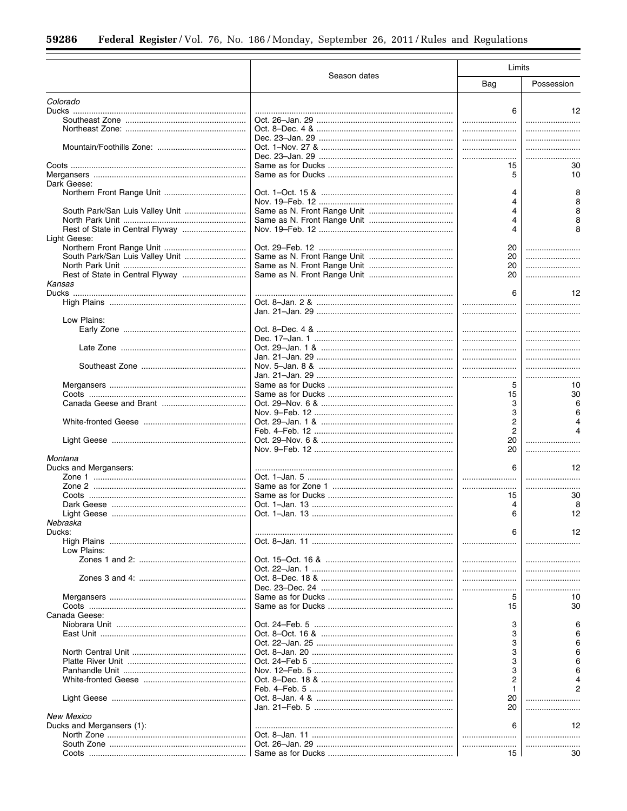÷.

|                                 |              | Limits         |            |
|---------------------------------|--------------|----------------|------------|
|                                 | Season dates | Bag            | Possession |
| Colorado                        |              |                |            |
|                                 |              | 6              | 12         |
|                                 |              |                |            |
|                                 |              |                |            |
|                                 |              |                |            |
|                                 |              |                |            |
|                                 |              |                |            |
|                                 |              | 15             | 30         |
|                                 |              | 5              | 10         |
| Dark Geese:                     |              |                |            |
|                                 |              |                |            |
|                                 |              |                |            |
| South Park/San Luis Valley Unit |              | 4              |            |
|                                 |              | 4              |            |
|                                 |              | 4              |            |
|                                 |              |                |            |
| Light Geese:                    |              |                |            |
|                                 |              | 20             |            |
| South Park/San Luis Valley Unit |              | 20             |            |
|                                 |              | 20             |            |
|                                 |              | 20             |            |
| Kansas                          |              |                |            |
|                                 |              | 6              | 12         |
|                                 |              |                |            |
|                                 |              |                |            |
| Low Plains:                     |              |                |            |
|                                 |              |                |            |
|                                 |              |                |            |
|                                 |              |                |            |
|                                 |              |                |            |
|                                 |              |                |            |
|                                 |              |                |            |
|                                 |              |                |            |
|                                 |              | 5              | 10         |
|                                 |              | 15             | 30         |
|                                 |              | 3              |            |
|                                 |              | 3              |            |
|                                 |              | 2              |            |
|                                 |              | $\overline{2}$ |            |
|                                 |              | 20             |            |
|                                 |              | 20             |            |
| Montana                         |              |                |            |
| Ducks and Mergansers:           |              | 6              | 12         |
|                                 |              |                |            |
|                                 |              |                |            |
|                                 |              | 15             | 30         |
|                                 |              | 4              | 8          |
|                                 |              | 6              | 12         |
|                                 |              |                |            |
| Nebraska                        |              |                |            |
| Ducks:                          |              | 6              | 12         |
|                                 |              |                |            |
| Low Plains:                     |              |                |            |
|                                 |              |                |            |
|                                 |              |                |            |
|                                 |              |                |            |
|                                 |              |                |            |
|                                 |              | 5              | 10         |
|                                 |              | 15             | 30         |
| Canada Geese:                   |              |                |            |
|                                 |              | 3              |            |
|                                 |              | 3              |            |
|                                 |              | 3              |            |
|                                 |              | 3              |            |
|                                 |              | 3              |            |
|                                 |              |                |            |
|                                 |              | 3              |            |
|                                 |              | 2              |            |
|                                 |              | 1              |            |
|                                 |              | 20             |            |
|                                 |              | 20             |            |
| <b>New Mexico</b>               |              |                |            |
| Ducks and Mergansers (1):       |              | 6              | 12         |
|                                 |              |                |            |
|                                 |              |                |            |
|                                 |              | 15             | 30         |
|                                 |              |                |            |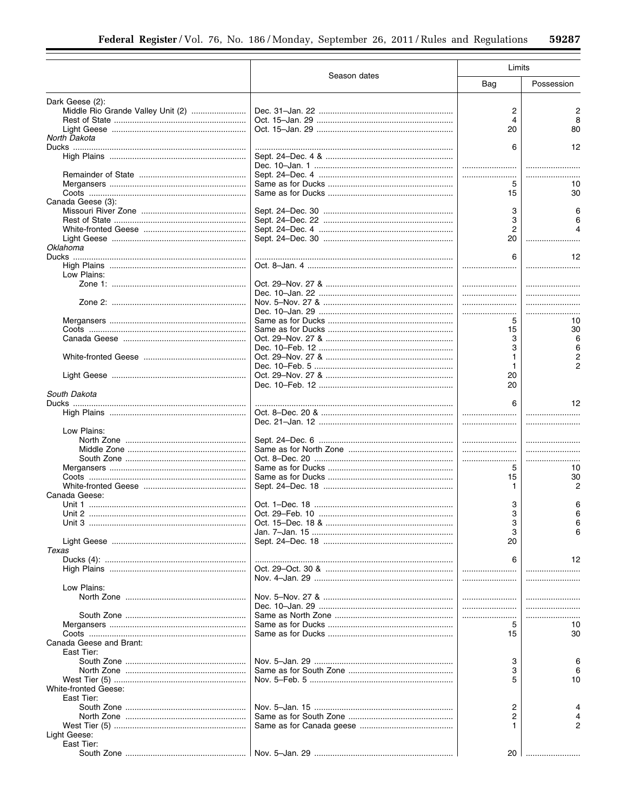|                                   |              | Limits         |                |  |
|-----------------------------------|--------------|----------------|----------------|--|
|                                   | Season dates | Bag            | Possession     |  |
| Dark Geese (2):                   |              |                |                |  |
| Middle Rio Grande Valley Unit (2) |              | 2              | 2              |  |
|                                   |              | 4              | 8              |  |
|                                   |              | 20             | 80             |  |
| North Dakota                      |              |                | 12             |  |
|                                   |              | 6              |                |  |
|                                   |              |                |                |  |
|                                   |              |                |                |  |
|                                   |              | 5              | 10             |  |
|                                   |              | 15             | 30             |  |
| Canada Geese (3):                 |              |                |                |  |
|                                   |              | 3              | 6              |  |
|                                   |              | 3              |                |  |
|                                   |              | $\overline{2}$ |                |  |
|                                   |              | 20             |                |  |
| Oklahoma                          |              |                |                |  |
|                                   |              | 6              | 12             |  |
|                                   |              |                |                |  |
| Low Plains:                       |              |                |                |  |
|                                   |              |                |                |  |
|                                   |              |                |                |  |
|                                   |              |                |                |  |
|                                   |              | 5              | 10             |  |
|                                   |              | 15             | 30             |  |
|                                   |              | 3              | 6              |  |
|                                   |              | 3              | 6              |  |
|                                   |              |                |                |  |
|                                   |              | 1              | $\overline{2}$ |  |
|                                   |              | 20             |                |  |
|                                   |              | 20             |                |  |
| South Dakota                      |              |                |                |  |
|                                   |              | 6              | 12             |  |
|                                   |              |                |                |  |
|                                   |              |                |                |  |
| Low Plains:                       |              |                |                |  |
|                                   |              |                |                |  |
|                                   |              |                |                |  |
|                                   |              |                |                |  |
|                                   |              | 5              | 10             |  |
|                                   |              | 15             | 30             |  |
|                                   |              | 1.             | 2              |  |
| Canada Geese:                     |              |                |                |  |
|                                   |              | 3              |                |  |
|                                   |              | 3              | 6              |  |
|                                   |              | 3              |                |  |
|                                   |              | 3              |                |  |
|                                   |              | 20             |                |  |
| Texas                             |              |                |                |  |
|                                   |              | 6              | 12             |  |
|                                   |              |                |                |  |
| Low Plains:                       |              |                |                |  |
|                                   |              |                |                |  |
|                                   |              |                |                |  |
|                                   |              |                |                |  |
|                                   |              | 5              | 10             |  |
|                                   |              | 15             | 30             |  |
| Canada Geese and Brant:           |              |                |                |  |
| East Tier:                        |              |                |                |  |
|                                   |              | 3              | 6              |  |
|                                   |              | 3              |                |  |
|                                   |              | 5              | 10             |  |
| <b>White-fronted Geese:</b>       |              |                |                |  |
| East Tier:                        |              |                |                |  |
|                                   |              | 2              |                |  |
|                                   |              | 2              |                |  |
|                                   |              |                | 2              |  |
| Light Geese:                      |              |                |                |  |
| East Tier:                        |              |                |                |  |
|                                   |              | 20             |                |  |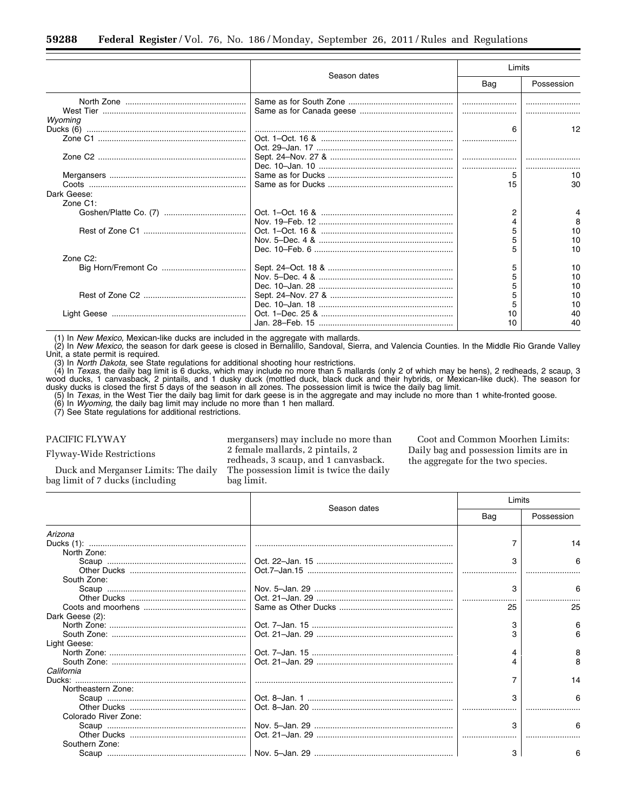|                       |              | Limits |            |
|-----------------------|--------------|--------|------------|
|                       | Season dates | Bag    | Possession |
|                       |              |        |            |
|                       |              |        |            |
| Wvomina               |              |        |            |
|                       |              | 6      | 12         |
|                       |              |        |            |
|                       |              |        |            |
|                       |              |        |            |
|                       |              |        |            |
|                       |              | 5      | 10         |
|                       |              | 15     | 30         |
| Dark Geese:           |              |        |            |
| Zone $C1$ :           |              |        |            |
|                       |              |        |            |
|                       |              |        |            |
|                       |              |        | 10         |
|                       |              |        | 10         |
|                       |              |        | 10         |
| Zone C <sub>2</sub> : |              |        |            |
|                       |              | 5      | 10         |
|                       |              |        | 10         |
|                       |              |        | 10         |
|                       |              |        | 10         |
|                       |              |        | 10         |
|                       |              | 10     | 40         |
|                       |              |        | 40         |
|                       |              |        |            |

(1) In *New Mexico,* Mexican-like ducks are included in the aggregate with mallards.

(2) In *New Mexico,* the season for dark geese is closed in Bernalillo, Sandoval, Sierra, and Valencia Counties. In the Middle Rio Grande Valley Unit, a state permit is required.

(3) In *North Dakota,* see State regulations for additional shooting hour restrictions.

(4) In *Texas,* the daily bag limit is 6 ducks, which may include no more than 5 mallards (only 2 of which may be hens), 2 redheads, 2 scaup, 3 wood ducks, 1 canvasback, 2 pintails, and 1 dusky duck (mottled duck, black duck and their hybrids, or Mexican-like duck). The season for dusky ducks is closed the first 5 days of the season in all zones. The possession limit is twice the daily bag limit.

(5) In *Texas,* in the West Tier the daily bag limit for dark geese is in the aggregate and may include no more than 1 white-fronted goose.

(6) In *Wyoming,* the daily bag limit may include no more than 1 hen mallard.

(7) See State regulations for additional restrictions.

PACIFIC FLYWAY

Flyway-Wide Restrictions

Duck and Merganser Limits: The daily bag limit of 7 ducks (including

mergansers) may include no more than 2 female mallards, 2 pintails, 2 redheads, 3 scaup, and 1 canvasback. The possession limit is twice the daily bag limit.

Coot and Common Moorhen Limits: Daily bag and possession limits are in the aggregate for the two species.

|                      |              | Limits |            |
|----------------------|--------------|--------|------------|
|                      | Season dates | Bag    | Possession |
| Arizona              |              |        |            |
|                      |              |        | 14         |
| North Zone:          |              |        |            |
|                      |              | 3      | 6          |
|                      |              |        |            |
| South Zone:          |              |        |            |
|                      |              | 3      | 6          |
|                      |              |        |            |
|                      |              | 25     | 25         |
| Dark Geese (2):      |              |        |            |
|                      |              |        | 6          |
|                      |              |        |            |
| Light Geese:         |              |        |            |
|                      |              | 4      | 8          |
|                      |              |        |            |
| California           |              |        |            |
|                      |              |        | 14         |
| Northeastern Zone:   |              |        |            |
|                      |              | 3      |            |
|                      |              |        |            |
| Colorado River Zone: |              |        |            |
|                      |              | З      |            |
|                      |              |        |            |
| Southern Zone:       |              |        |            |
|                      |              | 3      |            |
|                      |              |        |            |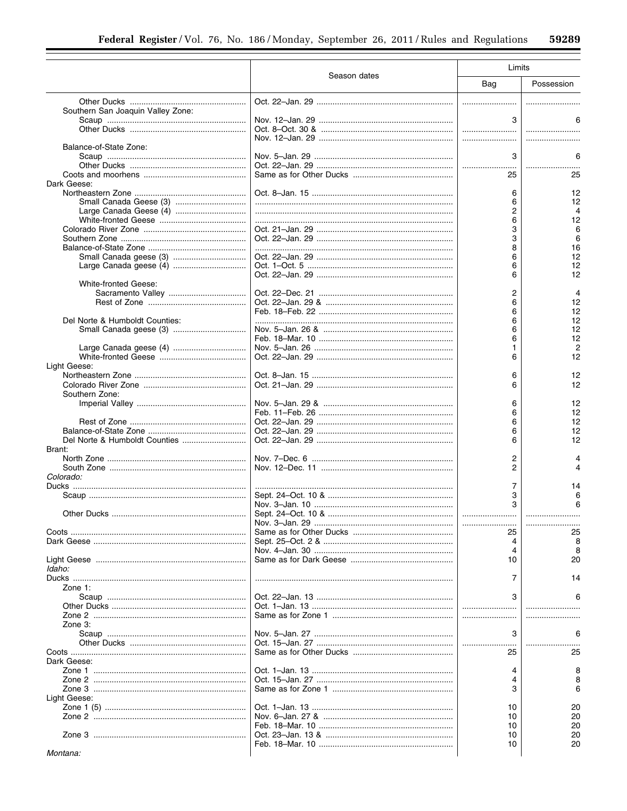|                                   |              | Limits   |            |
|-----------------------------------|--------------|----------|------------|
|                                   | Season dates | Bag      | Possession |
|                                   |              |          |            |
| Southern San Joaquin Valley Zone: |              |          |            |
|                                   |              | 3        |            |
|                                   |              |          |            |
| Balance-of-State Zone:            |              |          |            |
|                                   |              | 3        |            |
|                                   |              | 25       | 25         |
| Dark Geese:                       |              |          |            |
|                                   |              | 6        | 12         |
|                                   |              | 6        | 12         |
|                                   |              | 2        | 4          |
|                                   |              | 6<br>3   | 12<br>6    |
|                                   |              | 3        | 6          |
|                                   |              | 8        | 16         |
|                                   |              | 6        | 12         |
|                                   |              | 6<br>6   | 12<br>12   |
| <b>White-fronted Geese:</b>       |              |          |            |
|                                   |              | 2        | 4          |
|                                   |              | 6        | 12         |
| Del Norte & Humboldt Counties:    |              | 6<br>6   | 12<br>12   |
|                                   |              | 6        | 12         |
|                                   |              | 6        | 12         |
|                                   |              | 1        |            |
|                                   |              | 6        | 12         |
| Light Geese:                      |              | 6        | 12         |
|                                   |              | 6        | 12         |
| Southern Zone:                    |              |          |            |
|                                   |              | 6        | 12         |
|                                   |              | 6<br>6   | 12<br>12   |
|                                   |              | 6        | 12         |
|                                   |              | 6        | 12         |
| Brant:                            |              |          |            |
|                                   |              | 2<br>2   | 4          |
| Colorado:                         |              |          |            |
|                                   |              | 7        | 14         |
|                                   |              | 3        | 6          |
|                                   |              | 3        | 6          |
|                                   |              |          |            |
|                                   |              | 25       | 25         |
|                                   |              | 4        |            |
|                                   |              | 4        | 8          |
| Idaho:                            |              | 10       | 20         |
|                                   |              | 7        | 14         |
| Zone $1$ :                        |              |          |            |
|                                   |              | 3        |            |
|                                   |              |          |            |
| Zone 3:                           |              |          |            |
|                                   |              | 3        | 6          |
|                                   |              |          |            |
| Dark Geese:                       |              | 25       | 25         |
|                                   |              | 4        |            |
|                                   |              | 4        |            |
|                                   |              | 3        | 6          |
| Light Geese:                      |              |          |            |
|                                   |              | 10<br>10 | 20<br>20   |
|                                   |              | 10       | 20         |
|                                   |              | 10       | 20         |
|                                   |              | 10       | 20         |
| Montana:                          |              |          |            |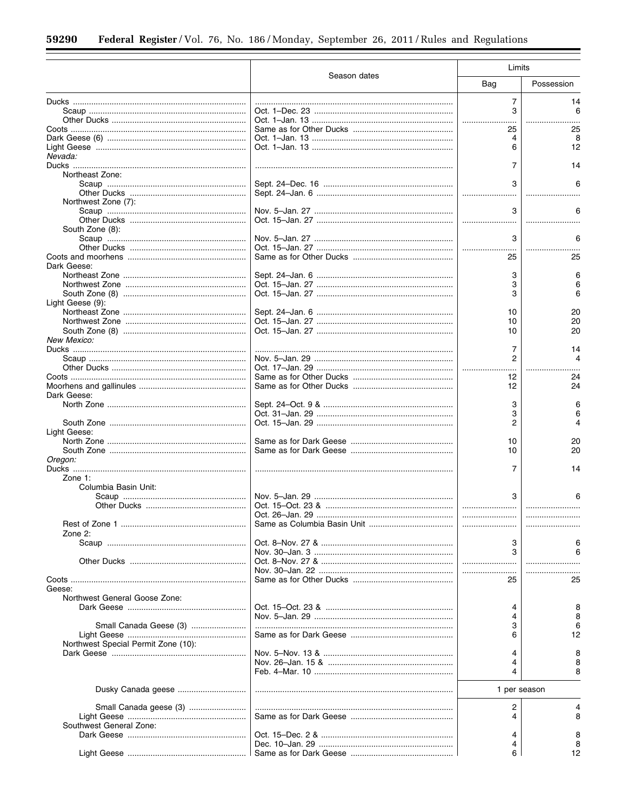|                                     |              | Limits         |            |
|-------------------------------------|--------------|----------------|------------|
|                                     | Season dates | Bag            | Possession |
|                                     |              | $\overline{7}$ | 14         |
|                                     |              | 3              | 6          |
|                                     |              |                |            |
|                                     |              | 25             | 25         |
|                                     |              | 4              |            |
|                                     |              | 6              | 12         |
| Nevada:                             |              |                |            |
|                                     |              | 7              | 14         |
| Northeast Zone:                     |              |                |            |
|                                     |              | 3              |            |
|                                     |              |                |            |
|                                     |              |                |            |
| Northwest Zone (7):                 |              |                |            |
|                                     |              | 3              |            |
|                                     |              |                |            |
| South Zone (8):                     |              |                |            |
|                                     |              | 3              |            |
|                                     |              |                |            |
|                                     |              | 25             | 25         |
| Dark Geese:                         |              |                |            |
|                                     |              | 3              |            |
|                                     |              | 3              |            |
|                                     |              | 3              | 6          |
| Light Geese (9):                    |              |                |            |
|                                     |              | 10             | 20         |
|                                     |              | 10             | 20         |
|                                     |              | 10             | 20         |
| New Mexico:                         |              |                |            |
|                                     |              |                |            |
|                                     |              | 7              | 14<br>Δ    |
|                                     |              | 2              |            |
|                                     |              |                |            |
|                                     |              | 12             | 24         |
|                                     |              | 12             | 24         |
| Dark Geese:                         |              |                |            |
|                                     |              | 3              |            |
|                                     |              | 3              |            |
|                                     |              | 2              | 4          |
| Light Geese:                        |              |                |            |
|                                     |              | 10             | 20         |
|                                     |              | 10             | 20         |
| Oregon:                             |              |                |            |
|                                     |              | 7              | 14         |
| Zone $1$ :                          |              |                |            |
| Columbia Basin Unit:                |              |                |            |
|                                     |              | 3              |            |
|                                     |              |                |            |
|                                     |              |                |            |
|                                     |              |                |            |
|                                     |              |                |            |
| Zone $2$ :                          |              |                |            |
|                                     |              | 3              |            |
|                                     |              | 3              |            |
|                                     |              |                |            |
|                                     |              |                |            |
|                                     |              | 25             | 25         |
| Geese:                              |              |                |            |
| Northwest General Goose Zone:       |              |                |            |
|                                     |              | 4              | 8          |
|                                     |              | 4              | 8          |
| Small Canada Geese (3)              |              | 3              | 6          |
|                                     |              | 6              | 12         |
| Northwest Special Permit Zone (10): |              |                |            |
|                                     |              | 4              | 8          |
|                                     |              | 4              |            |
|                                     |              | 4              | 8          |
|                                     |              |                |            |
|                                     |              |                |            |
|                                     |              | 1 per season   |            |
|                                     |              | 2              | 4          |
| Small Canada geese (3)              |              |                |            |
|                                     |              | 4              | 8          |
| Southwest General Zone:             |              |                |            |
|                                     |              | 4              | 8          |
|                                     |              | 4              | 8          |
|                                     |              | 6              | 12         |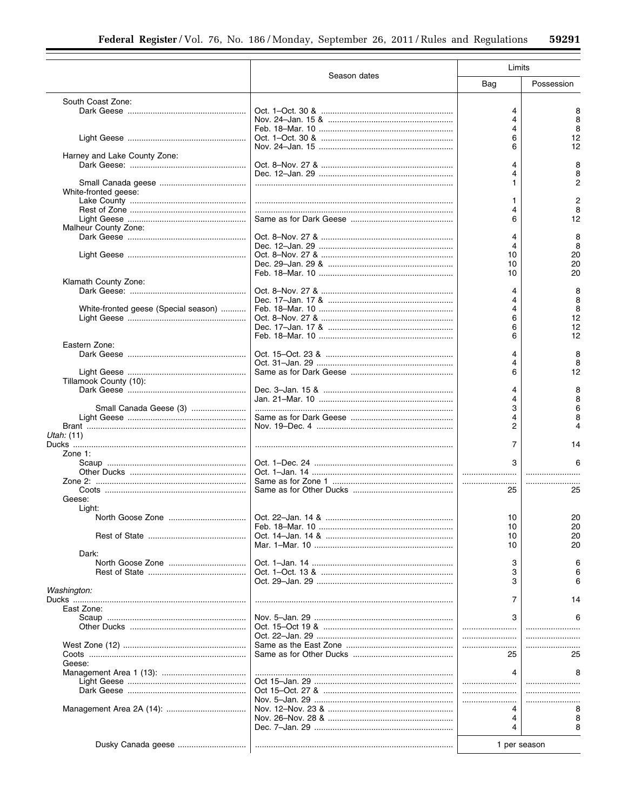|                                      |                   | Limits         |            |
|--------------------------------------|-------------------|----------------|------------|
|                                      | Season dates      | Bag            | Possession |
| South Coast Zone:                    |                   |                |            |
|                                      |                   | 4              | 8          |
|                                      |                   | 4              | 8          |
|                                      |                   | 4              | 8          |
|                                      |                   | 6<br>6         | 12         |
| Harney and Lake County Zone:         |                   |                | 12         |
|                                      |                   | 4              |            |
|                                      |                   | 4              |            |
|                                      |                   | 1              | 2          |
| White-fronted geese:                 |                   |                |            |
|                                      |                   | 1              | 2          |
|                                      |                   | 4              | 8          |
|                                      |                   | 6              | 12         |
| Malheur County Zone:                 |                   |                |            |
|                                      |                   | $\overline{4}$ | 8          |
|                                      |                   | 4<br>10        | 8<br>20    |
|                                      |                   | 10             | 20         |
|                                      |                   | 10             | 20         |
| Klamath County Zone:                 |                   |                |            |
|                                      |                   | 4              | 8          |
|                                      |                   | 4              | 8          |
| White-fronted geese (Special season) |                   | 4              | 8          |
|                                      |                   | 6              | 12         |
|                                      |                   | 6              | 12         |
|                                      |                   | 6              | 12         |
| Eastern Zone:                        |                   | 4              | 8          |
|                                      |                   | 4              |            |
|                                      |                   | 6              | 12         |
| Tillamook County (10):               |                   |                |            |
|                                      |                   | 4              | 8          |
|                                      |                   | 4              | 8          |
| Small Canada Geese (3)               |                   | 3              | 6          |
|                                      |                   | 4              |            |
|                                      |                   | 2              |            |
| Utah: (11)                           |                   |                |            |
|                                      |                   | 7              | 14         |
| Zone 1:                              |                   | 3              | 6          |
|                                      |                   |                |            |
|                                      |                   |                |            |
|                                      |                   | 25             | 25         |
| Geese:                               |                   |                |            |
| Light:                               |                   |                |            |
| North Goose Zone                     | Oct. 22–Jan. 14 & | 10             | 20         |
|                                      |                   | 10             | 20         |
|                                      |                   | 10             | 20         |
|                                      |                   | 10             | 20         |
| Dark:                                |                   |                |            |
|                                      |                   | 3              |            |
|                                      |                   | 3<br>3         |            |
| Washington:                          |                   |                |            |
|                                      |                   | 7              | 14         |
| East Zone:                           |                   |                |            |
|                                      |                   | 3              |            |
|                                      |                   |                |            |
|                                      |                   |                |            |
|                                      |                   |                |            |
|                                      |                   | 25             | 25         |
| Geese:                               |                   |                |            |
|                                      |                   | 4              |            |
|                                      |                   |                |            |
|                                      |                   |                |            |
|                                      |                   |                |            |
|                                      |                   | 4              |            |
|                                      |                   | 4              |            |
|                                      |                   |                |            |
|                                      |                   | 1 per season   |            |
|                                      |                   |                |            |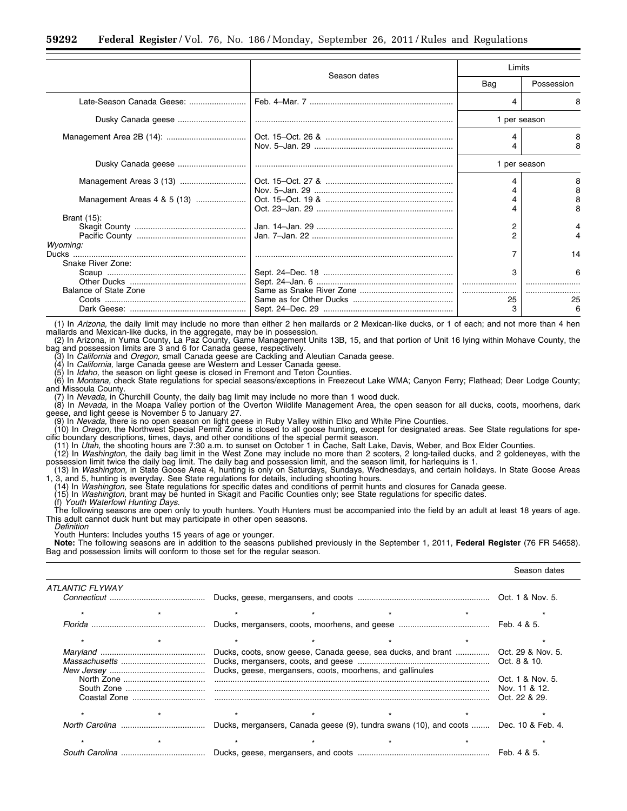|                               |              | Limits       |            |
|-------------------------------|--------------|--------------|------------|
|                               | Season dates | Bag          | Possession |
| Late-Season Canada Geese:     |              | 4            | 8          |
| Dusky Canada geese            |              | 1 per season |            |
|                               |              |              |            |
| Dusky Canada geese            |              | 1 per season |            |
|                               |              |              | 8<br>8     |
| Management Areas 4 & 5 (13)   |              |              | 8          |
| Brant (15):                   |              | 2            |            |
|                               |              | っ            |            |
| Wyoming:<br>Snake River Zone: |              |              | 14         |
|                               |              | 3            | 6          |
| Balance of State Zone         |              |              |            |
|                               |              | 25           | 25         |
|                               |              | 3            | 6          |

(1) In *Arizona,* the daily limit may include no more than either 2 hen mallards or 2 Mexican-like ducks, or 1 of each; and not more than 4 hen mallards and Mexican-like ducks, in the aggregate, may be in possession.<br>(2) In Arizona, in Yuma County, La Paz County, Game Management Units 13B, 15, and that portion of Unit 16 lying within Mohave County, the

bag and possession limits are 3 and 6 for Canada geese, respectively.

(3) In *California* and *Oregon,* small Canada geese are Cackling and Aleutian Canada geese.

(4) In *California,* large Canada geese are Western and Lesser Canada geese. (5) In *Idaho,* the season on light geese is closed in Fremont and Teton Counties.

(6) In *Montana,* check State regulations for special seasons/exceptions in Freezeout Lake WMA; Canyon Ferry; Flathead; Deer Lodge County; and Missoula County.

(7) In Nevada, in Churchill County, the daily bag limit may include no more than 1 wood duck.<br>(8) In *Nevada,* in the Moapa Valley portion of the Overton Wildlife Management Area, the open season for all ducks, coots, moor

geese, and light geese is November 5 to January 27. (9) In *Nevada,* there is no open season on light geese in Ruby Valley within Elko and White Pine Counties.

(10) In *Oregon,* the Northwest Special Permit Zone is closed to all goose hunting, except for designated areas. See State regulations for spe-

cific boundary descriptions, times, days, and other conditions of the special permit season.<br>(11) In *Utah*, the shooting hours are 7:30 a.m. to sunset on October 1 in Cache, Salt Lake, Davis, Weber, and Box Elder Counties

(12) In *Washington,* the daily bag limit in the West Zone may include no more than 2 scoters, 2 long-tailed ducks, and 2 goldeneyes, with the possession limit twice the daily bag limit. The daily bag and possession limit, and the season limit, for harlequins is 1.

(13) In *Washington,* in State Goose Area 4, hunting is only on Saturdays, Sundays, Wednesdays, and certain holidays. In State Goose Areas 1, 3, and 5, hunting is everyday. See State regulations for details, including shooting hours.

(14) In *Washington,* see State regulations for specific dates and conditions of permit hunts and closures for Canada geese.

(15) In *Washington,* brant may be hunted in Skagit and Pacific Counties only; see State regulations for specific dates.

(f) *Youth Waterfowl Hunting Days*.<br>The following seasons are open only to youth hunters. Youth Hunters must be accompanied into the field by an adult at least 18 years of age. This adult cannot duck hunt but may participate in other open seasons. *Definition* 

Youth Hunters: Includes youths 15 years of age or younger.

**Note:** The following seasons are in addition to the seasons published previously in the September 1, 2011, **Federal Register** (76 FR 54658). Bag and possession limits will conform to those set for the regular season.

|                 |  |                                                                                                                                              |  | Season dates                                       |
|-----------------|--|----------------------------------------------------------------------------------------------------------------------------------------------|--|----------------------------------------------------|
| ATLANTIC FLYWAY |  |                                                                                                                                              |  |                                                    |
|                 |  |                                                                                                                                              |  |                                                    |
|                 |  |                                                                                                                                              |  |                                                    |
|                 |  |                                                                                                                                              |  |                                                    |
|                 |  |                                                                                                                                              |  |                                                    |
|                 |  | Ducks, coots, snow geese, Canada geese, sea ducks, and brant  Oct. 29 & Nov. 5.<br>Ducks, geese, mergansers, coots, moorhens, and gallinules |  |                                                    |
|                 |  |                                                                                                                                              |  | Oct. 1 & Nov. 5.<br>Nov. 11 & 12.<br>Oct. 22 & 29. |
|                 |  |                                                                                                                                              |  |                                                    |
|                 |  | Ducks, mergansers, Canada geese (9), tundra swans (10), and coots  Dec. 10 & Feb. 4.                                                         |  |                                                    |
|                 |  |                                                                                                                                              |  |                                                    |
|                 |  |                                                                                                                                              |  |                                                    |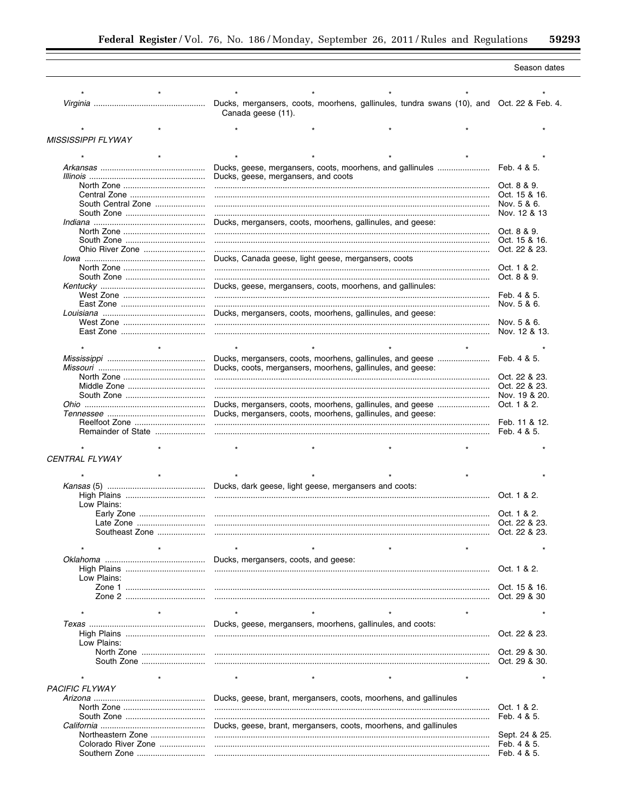÷.

|                           |                     |                    |                                                                                          |  | Season dates   |
|---------------------------|---------------------|--------------------|------------------------------------------------------------------------------------------|--|----------------|
|                           |                     |                    |                                                                                          |  |                |
|                           |                     |                    | Ducks, mergansers, coots, moorhens, gallinules, tundra swans (10), and Oct. 22 & Feb. 4. |  |                |
|                           |                     | Canada geese (11). |                                                                                          |  |                |
|                           |                     |                    |                                                                                          |  |                |
| <b>MISSISSIPPI FLYWAY</b> |                     |                    |                                                                                          |  |                |
|                           |                     |                    |                                                                                          |  |                |
|                           |                     |                    | Ducks, geese, mergansers, coots, moorhens, and gallinules                                |  | Feb. 4 & 5.    |
|                           |                     |                    | Ducks, geese, mergansers, and coots                                                      |  |                |
|                           |                     |                    |                                                                                          |  |                |
|                           |                     |                    |                                                                                          |  |                |
|                           | South Central Zone  |                    |                                                                                          |  | Nov. 5 & 6.    |
|                           |                     |                    |                                                                                          |  | Nov. 12 & 13   |
|                           |                     |                    | Ducks, mergansers, coots, moorhens, gallinules, and geese:                               |  |                |
|                           |                     |                    |                                                                                          |  | Oct. 8 & 9.    |
|                           |                     |                    |                                                                                          |  | Oct. 15 & 16.  |
|                           | Ohio River Zone     |                    |                                                                                          |  | Oct. 22 & 23.  |
|                           |                     |                    | Ducks, Canada geese, light geese, mergansers, coots                                      |  | Oct. 1 & 2.    |
|                           |                     |                    |                                                                                          |  | Oct. 8 & 9.    |
|                           |                     |                    | Ducks, geese, mergansers, coots, moorhens, and gallinules:                               |  |                |
|                           |                     |                    |                                                                                          |  | Feb. 4 & 5.    |
|                           |                     |                    |                                                                                          |  | Nov. 5 & 6.    |
|                           |                     |                    | Ducks, mergansers, coots, moorhens, gallinules, and geese:                               |  |                |
|                           |                     |                    |                                                                                          |  |                |
|                           |                     |                    |                                                                                          |  |                |
| $\star$                   |                     | $\star$            |                                                                                          |  |                |
|                           |                     |                    |                                                                                          |  |                |
|                           |                     |                    | Ducks, mergansers, coots, moorhens, gallinules, and geese                                |  | Feb. 4 & 5.    |
|                           |                     |                    | Ducks, coots, mergansers, moorhens, gallinules, and geese:                               |  | Oct. 22 & 23.  |
|                           |                     |                    |                                                                                          |  | Oct. 22 & 23.  |
|                           |                     |                    |                                                                                          |  | Nov. 19 & 20.  |
|                           |                     |                    | Ducks, mergansers, coots, moorhens, gallinules, and geese                                |  | Oct. 1 & 2.    |
|                           |                     |                    | Ducks, mergansers, coots, moorhens, gallinules, and geese:                               |  |                |
|                           | Reelfoot Zone       |                    |                                                                                          |  | Feb. 11 & 12.  |
|                           | Remainder of State  |                    |                                                                                          |  | Feb. 4 & 5.    |
|                           |                     |                    |                                                                                          |  |                |
| CENTRAL FLYWAY            |                     |                    |                                                                                          |  |                |
|                           |                     |                    |                                                                                          |  |                |
|                           |                     |                    |                                                                                          |  |                |
|                           |                     |                    | Ducks, dark geese, light geese, mergansers and coots:                                    |  |                |
|                           |                     |                    |                                                                                          |  |                |
| Low Plains:               |                     |                    |                                                                                          |  |                |
|                           |                     |                    |                                                                                          |  |                |
|                           | Late Zone           |                    |                                                                                          |  | Oct. 22 & 23.  |
|                           | Southeast Zone      |                    |                                                                                          |  | Oct. 22 & 23.  |
|                           |                     |                    |                                                                                          |  |                |
|                           |                     |                    | Ducks, mergansers, coots, and geese:                                                     |  |                |
|                           |                     |                    |                                                                                          |  | Oct. 1 & 2.    |
| Low Plains:               |                     |                    |                                                                                          |  |                |
|                           |                     |                    |                                                                                          |  | Oct. 15 & 16.  |
|                           |                     |                    |                                                                                          |  |                |
|                           |                     |                    |                                                                                          |  |                |
|                           | $\star$             | $\star$            |                                                                                          |  |                |
|                           |                     |                    | Ducks, geese, mergansers, moorhens, gallinules, and coots:                               |  |                |
| Low Plains:               |                     |                    |                                                                                          |  | Oct. 22 & 23.  |
|                           |                     |                    |                                                                                          |  |                |
|                           |                     |                    |                                                                                          |  |                |
|                           |                     |                    |                                                                                          |  |                |
|                           |                     | $\star$            |                                                                                          |  |                |
| <b>PACIFIC FLYWAY</b>     |                     |                    |                                                                                          |  |                |
|                           |                     |                    | Ducks, geese, brant, mergansers, coots, moorhens, and gallinules                         |  |                |
|                           |                     |                    |                                                                                          |  | Oct. 1 & 2.    |
|                           |                     |                    |                                                                                          |  | Feb. 4 & 5.    |
|                           |                     |                    | Ducks, geese, brant, mergansers, coots, moorhens, and gallinules                         |  |                |
|                           | Northeastern Zone   |                    |                                                                                          |  | Sept. 24 & 25. |
|                           | Colorado River Zone |                    |                                                                                          |  | Feb. 4 & 5.    |
|                           |                     |                    |                                                                                          |  | Feb. 4 & 5.    |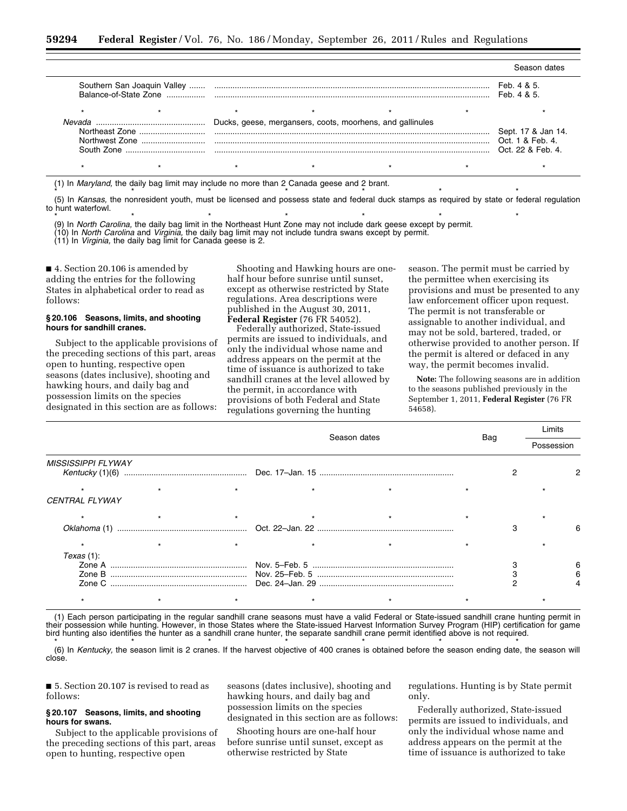|                                                          |                             |  |                                                           |  | Season dates                                                |
|----------------------------------------------------------|-----------------------------|--|-----------------------------------------------------------|--|-------------------------------------------------------------|
| Balance-of-State Zone                                    | Southern San Joaquin Valley |  |                                                           |  |                                                             |
|                                                          |                             |  |                                                           |  |                                                             |
| Nevada<br>Northeast Zone<br>Northwest Zone<br>South Zone |                             |  | Ducks, geese, mergansers, coots, moorhens, and gallinules |  | Sept. 17 & Jan 14.<br>Oct. 1 & Feb. 4.<br>Oct. 22 & Feb. 4. |
|                                                          |                             |  |                                                           |  |                                                             |

(1) In *Maryland,* the daily bag limit may include no more than 2 Canada geese and 2 brant. \*\*\*\*\*\*\*

(5) In *Kansas,* the nonresident youth, must be licensed and possess state and federal duck stamps as required by state or federal regulation to hunt waterfowl.

\*\*\*\*\*\*\* (9) In *North Carolina,* the daily bag limit in the Northeast Hunt Zone may not include dark geese except by permit.

(10) In *North Carolina* and *Virginia,* the daily bag limit may not include tundra swans except by permit.

(11) In *Virginia,* the daily bag limit for Canada geese is 2.

■ 4. Section 20.106 is amended by adding the entries for the following States in alphabetical order to read as follows:

#### **§ 20.106 Seasons, limits, and shooting hours for sandhill cranes.**

Subject to the applicable provisions of the preceding sections of this part, areas open to hunting, respective open seasons (dates inclusive), shooting and hawking hours, and daily bag and possession limits on the species designated in this section are as follows:

Shooting and Hawking hours are onehalf hour before sunrise until sunset, except as otherwise restricted by State regulations. Area descriptions were published in the August 30, 2011, **Federal Register** (76 FR 54052).

Federally authorized, State-issued permits are issued to individuals, and only the individual whose name and address appears on the permit at the time of issuance is authorized to take sandhill cranes at the level allowed by the permit, in accordance with provisions of both Federal and State regulations governing the hunting

season. The permit must be carried by the permittee when exercising its provisions and must be presented to any law enforcement officer upon request. The permit is not transferable or assignable to another individual, and may not be sold, bartered, traded, or otherwise provided to another person. If the permit is altered or defaced in any way, the permit becomes invalid.

**Note:** The following seasons are in addition to the seasons published previously in the September 1, 2011, **Federal Register** (76 FR 54658).

Limits

|                           |  | Season dates |  |  |  | Limits<br>Possession |  |
|---------------------------|--|--------------|--|--|--|----------------------|--|
|                           |  |              |  |  |  |                      |  |
| <b>MISSISSIPPI FLYWAY</b> |  |              |  |  |  |                      |  |
|                           |  |              |  |  |  |                      |  |
| <b>CENTRAL FLYWAY</b>     |  |              |  |  |  |                      |  |
|                           |  |              |  |  |  |                      |  |
|                           |  |              |  |  |  |                      |  |
|                           |  |              |  |  |  |                      |  |
| Texas(1):                 |  |              |  |  |  |                      |  |
|                           |  |              |  |  |  |                      |  |
|                           |  |              |  |  |  |                      |  |
|                           |  |              |  |  |  |                      |  |
|                           |  |              |  |  |  |                      |  |

(1) Each person participating in the regular sandhill crane seasons must have a valid Federal or State-issued sandhill crane hunting permit in their possession while hunting. However, in those States where the State-issued Harvest Information Survey Program (HIP) certification for game bird hunting also identifies the hunter as a sandhill crane hunter, the separate sandhill crane permit identified above is not required. \* \* \* \* \* \* \* \* \* \* \* \* \* \*

(6) In *Kentucky,* the season limit is 2 cranes. If the harvest objective of 400 cranes is obtained before the season ending date, the season will close.

■ 5. Section 20.107 is revised to read as follows:

#### **§ 20.107 Seasons, limits, and shooting hours for swans.**

Subject to the applicable provisions of the preceding sections of this part, areas open to hunting, respective open

seasons (dates inclusive), shooting and hawking hours, and daily bag and possession limits on the species designated in this section are as follows:

Shooting hours are one-half hour before sunrise until sunset, except as otherwise restricted by State

regulations. Hunting is by State permit only.

Federally authorized, State-issued permits are issued to individuals, and only the individual whose name and address appears on the permit at the time of issuance is authorized to take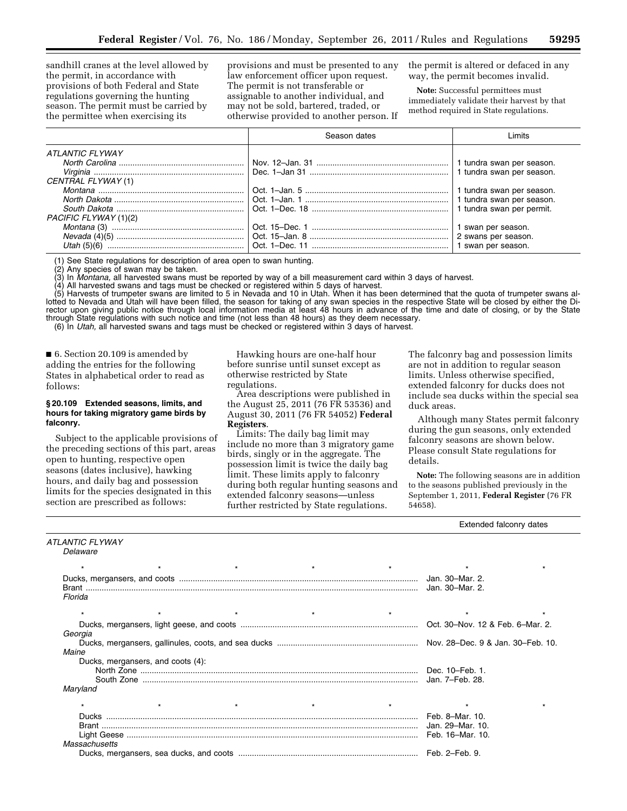sandhill cranes at the level allowed by the permit, in accordance with provisions of both Federal and State regulations governing the hunting season. The permit must be carried by the permittee when exercising its

provisions and must be presented to any law enforcement officer upon request. The permit is not transferable or assignable to another individual, and may not be sold, bartered, traded, or otherwise provided to another person. If

the permit is altered or defaced in any way, the permit becomes invalid.

**Note:** Successful permittees must immediately validate their harvest by that method required in State regulations.

|                       | Season dates | imits                     |
|-----------------------|--------------|---------------------------|
| ATLANTIC FLYWAY       |              |                           |
|                       |              | 1 tundra swan per season. |
|                       |              | 1 tundra swan per season. |
| CENTRAL FLYWAY (1)    |              |                           |
|                       |              | 1 tundra swan per season. |
|                       |              | 1 tundra swan per season. |
|                       |              | 1 tundra swan per permit. |
| PACIFIC FLYWAY (1)(2) |              |                           |
|                       |              | 1 swan per season.        |
|                       |              | 2 swans per season.       |
| Utah $(5)(6)$         |              | 1 swan per season.        |

(1) See State regulations for description of area open to swan hunting.<br>(2) Any species of swan may be taken.

Any species of swan may be taken.

(3) In *Montana,* all harvested swans must be reported by way of a bill measurement card within 3 days of harvest.

(4) All harvested swans and tags must be checked or registered within 5 days of harvest.

(5) Harvests of trumpeter swans are limited to 5 in Nevada and 10 in Utah. When it has been determined that the quota of trumpeter swans allotted to Nevada and Utah will have been filled, the season for taking of any swan species in the respective State will be closed by either the Director upon giving public notice through local information media at least 48 hours in advance of the time and date of closing, or by the State through State regulations with such notice and time (not less than 48 hours) as they deem necessary. (6) In *Utah,* all harvested swans and tags must be checked or registered within 3 days of harvest.

■ 6. Section 20.109 is amended by adding the entries for the following States in alphabetical order to read as follows:

### **§ 20.109 Extended seasons, limits, and hours for taking migratory game birds by falconry.**

Subject to the applicable provisions of the preceding sections of this part, areas open to hunting, respective open seasons (dates inclusive), hawking hours, and daily bag and possession limits for the species designated in this section are prescribed as follows:

Hawking hours are one-half hour before sunrise until sunset except as otherwise restricted by State regulations.

Area descriptions were published in the August 25, 2011 (76 FR 53536) and August 30, 2011 (76 FR 54052) **Federal Registers**.

Limits: The daily bag limit may include no more than 3 migratory game birds, singly or in the aggregate. The possession limit is twice the daily bag limit. These limits apply to falconry during both regular hunting seasons and extended falconry seasons—unless further restricted by State regulations.

The falconry bag and possession limits are not in addition to regular season limits. Unless otherwise specified, extended falconry for ducks does not include sea ducks within the special sea duck areas.

Although many States permit falconry during the gun seasons, only extended falconry seasons are shown below. Please consult State regulations for details.

**Note:** The following seasons are in addition to the seasons published previously in the September 1, 2011, **Federal Register** (76 FR 54658).

Extended falconry dates

|                                            |         |         | <b>Exteriogy ratcority dates</b>    |  |
|--------------------------------------------|---------|---------|-------------------------------------|--|
| ATLANTIC FLYWAY<br>Delaware                |         |         |                                     |  |
|                                            | $\star$ | $\star$ | $\star$                             |  |
| Florida                                    |         |         | Jan. 30-Mar. 2.<br>Jan. 30–Mar. 2.  |  |
|                                            |         |         | $\star$                             |  |
| Georgia                                    |         |         |                                     |  |
| Maine<br>Ducks, mergansers, and coots (4): |         |         |                                     |  |
| Maryland                                   |         |         |                                     |  |
|                                            | $\star$ |         | $\star$                             |  |
| Massachusetts                              |         |         | Feb. 8-Mar. 10.<br>Jan. 29-Mar. 10. |  |
|                                            |         |         |                                     |  |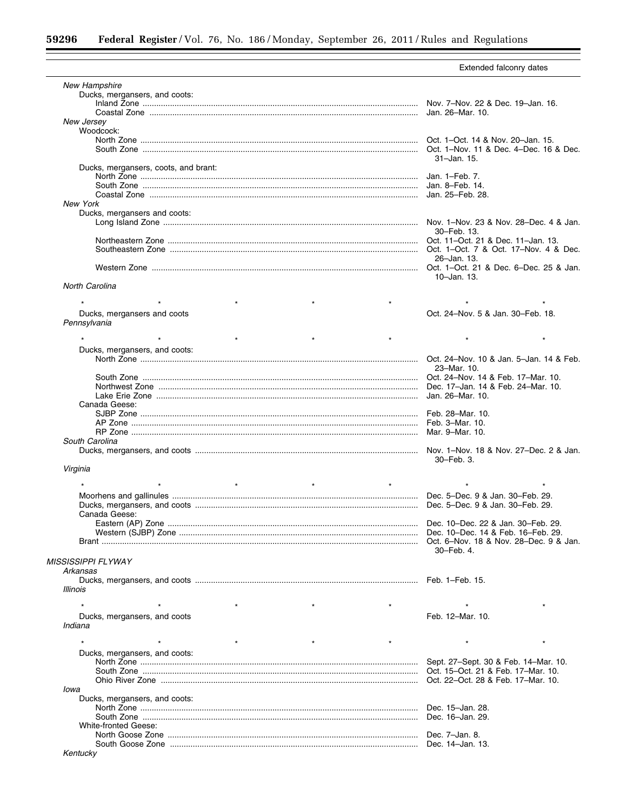$=$ 

|                                      | Extended falconry dates                 |
|--------------------------------------|-----------------------------------------|
| <b>New Hampshire</b>                 |                                         |
| Ducks, mergansers, and coots:        |                                         |
|                                      |                                         |
|                                      |                                         |
|                                      |                                         |
| New Jersey<br>Woodcock:              |                                         |
|                                      |                                         |
|                                      |                                         |
|                                      | 31-Jan. 15.                             |
| Ducks, mergansers, coots, and brant: |                                         |
|                                      |                                         |
|                                      |                                         |
|                                      |                                         |
| <b>New York</b>                      |                                         |
| Ducks, mergansers and coots:         |                                         |
|                                      |                                         |
|                                      | 30–Feb. 13.                             |
|                                      |                                         |
|                                      |                                         |
|                                      |                                         |
|                                      | 26-Jan. 13.                             |
|                                      |                                         |
|                                      | 10-Jan. 13.                             |
| North Carolina                       |                                         |
|                                      |                                         |
|                                      |                                         |
| Ducks, mergansers and coots          | Oct. 24-Nov. 5 & Jan. 30-Feb. 18.       |
| Pennsylvania                         |                                         |
| $\star$                              | $\star$                                 |
|                                      |                                         |
| Ducks, mergansers, and coots:        |                                         |
|                                      | Oct. 24-Nov. 10 & Jan. 5-Jan. 14 & Feb. |
|                                      | 23-Mar. 10.                             |
|                                      |                                         |
|                                      |                                         |
|                                      |                                         |
| Canada Geese:                        |                                         |
|                                      |                                         |
|                                      |                                         |
|                                      | Mar. 9-Mar. 10.                         |
| South Carolina                       |                                         |
|                                      | Nov. 1–Nov. 18 & Nov. 27–Dec. 2 & Jan.  |
|                                      | 30-Feb. 3.                              |
| Virginia                             |                                         |
|                                      |                                         |
| $\star$                              |                                         |
|                                      |                                         |
|                                      |                                         |
| Canada Geese:                        |                                         |
|                                      | Dec. 10-Dec. 22 & Jan. 30-Feb. 29.      |
|                                      | Dec. 10–Dec. 14 & Feb. 16–Feb. 29.      |
|                                      |                                         |
|                                      | 30-Feb. 4.                              |
| <b>MISSISSIPPI FLYWAY</b>            |                                         |
|                                      |                                         |
| Arkansas                             |                                         |
|                                      |                                         |
| Illinois                             |                                         |
|                                      |                                         |
|                                      |                                         |
| Ducks, mergansers, and coots         | Feb. 12-Mar. 10.                        |
| Indiana                              |                                         |
| $\star$                              |                                         |
|                                      | $\star$                                 |
| Ducks, mergansers, and coots:        |                                         |
|                                      |                                         |
|                                      |                                         |
|                                      |                                         |
| lowa                                 |                                         |
| Ducks, mergansers, and coots:        |                                         |
|                                      | Dec. 15-Jan. 28.                        |
|                                      |                                         |
| <b>White-fronted Geese:</b>          |                                         |
|                                      |                                         |
|                                      |                                         |
| Kentucky                             |                                         |
|                                      |                                         |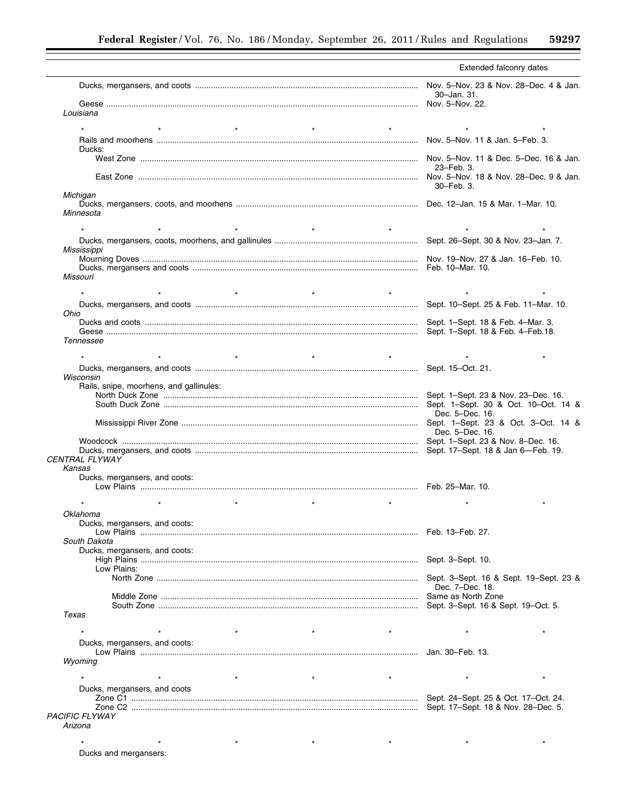$\equiv$ 

|                                         | Extended falconry dates                                                  |
|-----------------------------------------|--------------------------------------------------------------------------|
|                                         | Nov. 5-Nov. 23 & Nov. 28-Dec. 4 & Jan.<br>30-Jan. 31.<br>Nov. 5-Nov. 22. |
| Louisiana                               |                                                                          |
|                                         |                                                                          |
| $\star$<br>$\star$<br>$\star$           |                                                                          |
| Ducks:                                  |                                                                          |
|                                         | 23–Feb. 3.                                                               |
| Michigan                                | 30-Feb. 3.                                                               |
| Minnesota                               |                                                                          |
| $\star$                                 |                                                                          |
|                                         |                                                                          |
| Mississippi                             |                                                                          |
|                                         |                                                                          |
| Missouri                                |                                                                          |
|                                         |                                                                          |
|                                         | Sept. 10-Sept. 25 & Feb. 11-Mar. 10.                                     |
| Ohio                                    |                                                                          |
|                                         |                                                                          |
|                                         | Sept. 1-Sept. 18 & Feb. 4-Feb. 18.                                       |
| Tennessee                               |                                                                          |
| $\star$<br>$\star$                      | $\star$                                                                  |
|                                         |                                                                          |
| Wisconsin                               |                                                                          |
| Rails, snipe, moorhens, and gallinules: | Sept. 1–Sept. 23 & Nov. 23–Dec. 16.                                      |
|                                         | Sept. 1-Sept. 30 & Oct. 10-Oct. 14 &                                     |
|                                         | Dec. 5-Dec. 16.                                                          |
|                                         | Dec. 5-Dec. 16.                                                          |
|                                         |                                                                          |
| CENTRAL FLYWAY                          |                                                                          |
| Kansas<br>Ducks, mergansers, and coots: |                                                                          |
|                                         |                                                                          |
|                                         |                                                                          |
| Oklahoma                                |                                                                          |
| Ducks, mergansers, and coots:           |                                                                          |
| South Dakota                            |                                                                          |
| Ducks, mergansers, and coots:           |                                                                          |
|                                         |                                                                          |
| Low Plains:                             |                                                                          |
|                                         | Dec. 7-Dec. 18.                                                          |
|                                         |                                                                          |
|                                         |                                                                          |
| Texas                                   |                                                                          |
|                                         |                                                                          |
| Ducks, mergansers, and coots:           |                                                                          |
|                                         |                                                                          |
| Wyoming                                 |                                                                          |
| $\star$<br>$^\star$                     | $\star$                                                                  |
| Ducks, mergansers, and coots            |                                                                          |
|                                         |                                                                          |
|                                         |                                                                          |
| <b>PACIFIC FLYWAY</b>                   |                                                                          |
| Arizona                                 |                                                                          |
|                                         |                                                                          |
|                                         |                                                                          |

Ducks and mergansers: